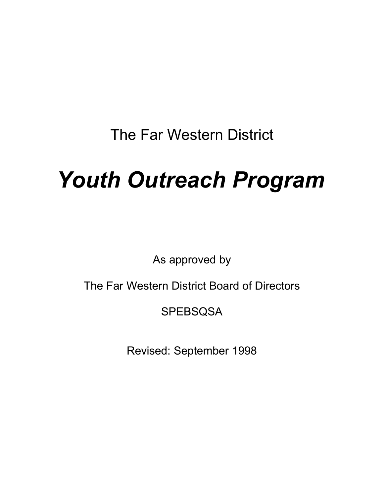The Far Western District

# *Youth Outreach Program*

As approved by

The Far Western District Board of Directors

**SPEBSQSA** 

Revised: September 1998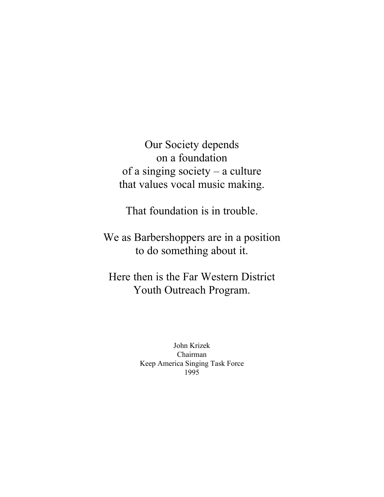Our Society depends on a foundation of a singing society – a culture that values vocal music making.

That foundation is in trouble.

We as Barbershoppers are in a position to do something about it.

Here then is the Far Western District Youth Outreach Program.

> John Krizek Chairman Keep America Singing Task Force 1995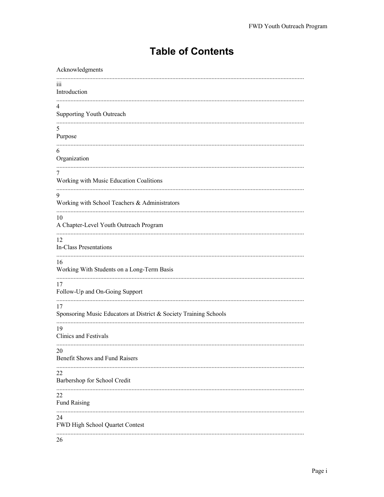# **Table of Contents**

| Acknowledgments                                                                                           |
|-----------------------------------------------------------------------------------------------------------|
| iii<br>Introduction                                                                                       |
| $\overline{4}$<br>Supporting Youth Outreach                                                               |
| 5<br>Purpose                                                                                              |
| 6<br>Organization                                                                                         |
| 7<br>Working with Music Education Coalitions                                                              |
| 9<br>Working with School Teachers & Administrators                                                        |
| 10<br>A Chapter-Level Youth Outreach Program                                                              |
| 12<br>In-Class Presentations                                                                              |
| 16<br>Working With Students on a Long-Term Basis<br>17                                                    |
| Follow-Up and On-Going Support<br>17<br>Sponsoring Music Educators at District & Society Training Schools |
| 19<br>Clinics and Festivals                                                                               |
| 20<br>Benefit Shows and Fund Raisers                                                                      |
| 22<br>Barbershop for School Credit                                                                        |
| 22<br><b>Fund Raising</b>                                                                                 |
| 24<br>FWD High School Quartet Contest                                                                     |
| 26                                                                                                        |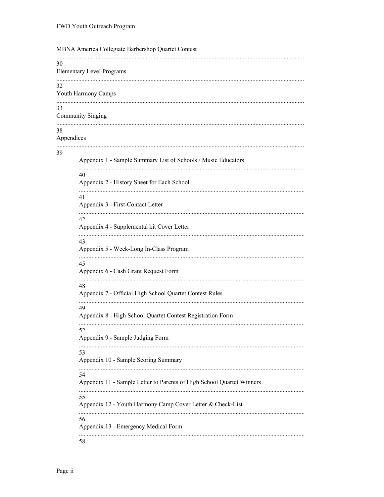|    | MBNA America Collegiate Barbershop Quartet Contest                          |
|----|-----------------------------------------------------------------------------|
| 30 | <b>Elementary Level Programs</b>                                            |
| 32 | Youth Harmony Camps                                                         |
| 33 | <b>Community Singing</b>                                                    |
| 38 | Appendices                                                                  |
| 39 | Appendix 1 - Sample Summary List of Schools / Music Educators               |
|    | 40<br>Appendix 2 - History Sheet for Each School                            |
|    | 41<br>Appendix 3 - First-Contact Letter                                     |
|    | 42<br>Appendix 4 - Supplemental kit Cover Letter                            |
|    | 43<br>Appendix 5 - Week-Long In-Class Program                               |
|    | 45<br>Appendix 6 - Cash Grant Request Form                                  |
|    | 48<br>Appendix 7 - Official High School Quartet Contest Rules               |
|    | 49<br>Appendix 8 - High School Quartet Contest Registration Form            |
|    | 52<br>Appendix 9 - Sample Judging Form                                      |
|    | 53<br>Appendix 10 - Sample Scoring Summary                                  |
|    | 54<br>Appendix 11 - Sample Letter to Parents of High School Quartet Winners |
|    | 55<br>Appendix 12 - Youth Harmony Camp Cover Letter & Check-List            |
|    | 56<br>Appendix 13 - Emergency Medical Form                                  |
|    | 58                                                                          |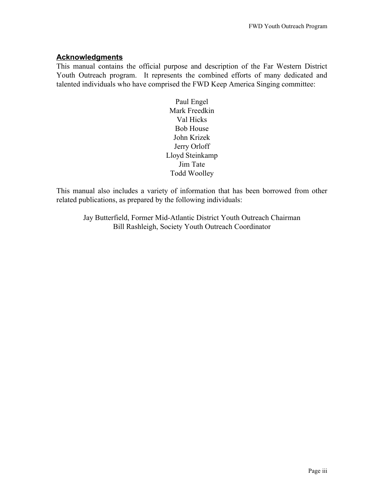#### **Acknowledgments**

This manual contains the official purpose and description of the Far Western District Youth Outreach program. It represents the combined efforts of many dedicated and talented individuals who have comprised the FWD Keep America Singing committee:

> Paul Engel Mark Freedkin Val Hicks Bob House John Krizek Jerry Orloff Lloyd Steinkamp Jim Tate Todd Woolley

This manual also includes a variety of information that has been borrowed from other related publications, as prepared by the following individuals:

Jay Butterfield, Former Mid-Atlantic District Youth Outreach Chairman Bill Rashleigh, Society Youth Outreach Coordinator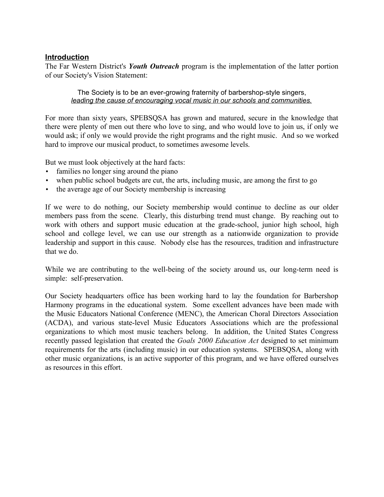#### **Introduction**

The Far Western District's *Youth Outreach* program is the implementation of the latter portion of our Society's Vision Statement:

The Society is to be an ever-growing fraternity of barbershop-style singers, *leading the cause of encouraging vocal music in our schools and communities.*

For more than sixty years, SPEBSQSA has grown and matured, secure in the knowledge that there were plenty of men out there who love to sing, and who would love to join us, if only we would ask; if only we would provide the right programs and the right music. And so we worked hard to improve our musical product, to sometimes awesome levels.

But we must look objectively at the hard facts:

- families no longer sing around the piano
- when public school budgets are cut, the arts, including music, are among the first to go
- the average age of our Society membership is increasing

If we were to do nothing, our Society membership would continue to decline as our older members pass from the scene. Clearly, this disturbing trend must change. By reaching out to work with others and support music education at the grade-school, junior high school, high school and college level, we can use our strength as a nationwide organization to provide leadership and support in this cause. Nobody else has the resources, tradition and infrastructure that we do.

While we are contributing to the well-being of the society around us, our long-term need is simple: self-preservation.

Our Society headquarters office has been working hard to lay the foundation for Barbershop Harmony programs in the educational system. Some excellent advances have been made with the Music Educators National Conference (MENC), the American Choral Directors Association (ACDA), and various state-level Music Educators Associations which are the professional organizations to which most music teachers belong. In addition, the United States Congress recently passed legislation that created the *Goals 2000 Education Act* designed to set minimum requirements for the arts (including music) in our education systems. SPEBSQSA, along with other music organizations, is an active supporter of this program, and we have offered ourselves as resources in this effort.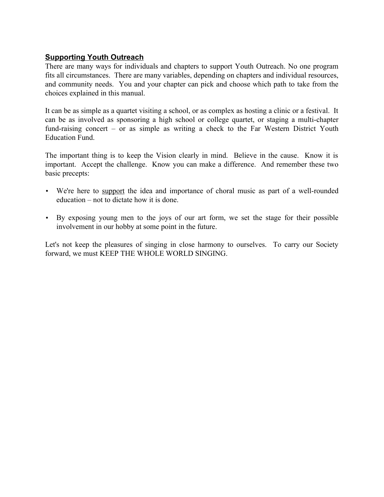# **Supporting Youth Outreach**

There are many ways for individuals and chapters to support Youth Outreach. No one program fits all circumstances. There are many variables, depending on chapters and individual resources, and community needs. You and your chapter can pick and choose which path to take from the choices explained in this manual.

It can be as simple as a quartet visiting a school, or as complex as hosting a clinic or a festival. It can be as involved as sponsoring a high school or college quartet, or staging a multi-chapter fund-raising concert – or as simple as writing a check to the Far Western District Youth Education Fund.

The important thing is to keep the Vision clearly in mind. Believe in the cause. Know it is important. Accept the challenge. Know you can make a difference. And remember these two basic precepts:

- We're here to support the idea and importance of choral music as part of a well-rounded education – not to dictate how it is done.
- By exposing young men to the joys of our art form, we set the stage for their possible involvement in our hobby at some point in the future.

Let's not keep the pleasures of singing in close harmony to ourselves. To carry our Society forward, we must KEEP THE WHOLE WORLD SINGING.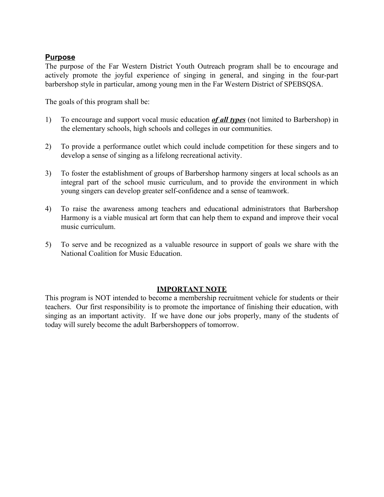# **Purpose**

The purpose of the Far Western District Youth Outreach program shall be to encourage and actively promote the joyful experience of singing in general, and singing in the four-part barbershop style in particular, among young men in the Far Western District of SPEBSQSA.

The goals of this program shall be:

- 1) To encourage and support vocal music education *of all types* (not limited to Barbershop) in the elementary schools, high schools and colleges in our communities.
- 2) To provide a performance outlet which could include competition for these singers and to develop a sense of singing as a lifelong recreational activity.
- 3) To foster the establishment of groups of Barbershop harmony singers at local schools as an integral part of the school music curriculum, and to provide the environment in which young singers can develop greater self-confidence and a sense of teamwork.
- 4) To raise the awareness among teachers and educational administrators that Barbershop Harmony is a viable musical art form that can help them to expand and improve their vocal music curriculum.
- 5) To serve and be recognized as a valuable resource in support of goals we share with the National Coalition for Music Education.

#### **IMPORTANT NOTE**

This program is NOT intended to become a membership recruitment vehicle for students or their teachers. Our first responsibility is to promote the importance of finishing their education, with singing as an important activity. If we have done our jobs properly, many of the students of today will surely become the adult Barbershoppers of tomorrow.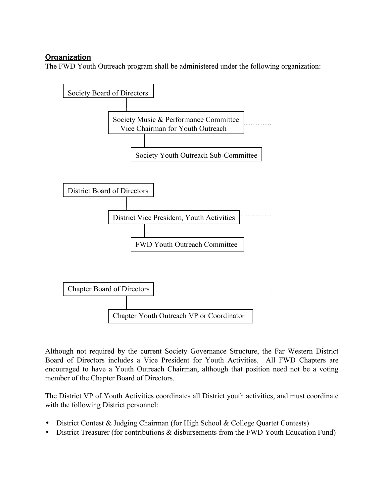# **Organization**

The FWD Youth Outreach program shall be administered under the following organization:



Although not required by the current Society Governance Structure, the Far Western District Board of Directors includes a Vice President for Youth Activities. All FWD Chapters are encouraged to have a Youth Outreach Chairman, although that position need not be a voting member of the Chapter Board of Directors.

The District VP of Youth Activities coordinates all District youth activities, and must coordinate with the following District personnel:

- District Contest & Judging Chairman (for High School & College Quartet Contests)
- District Treasurer (for contributions & disbursements from the FWD Youth Education Fund)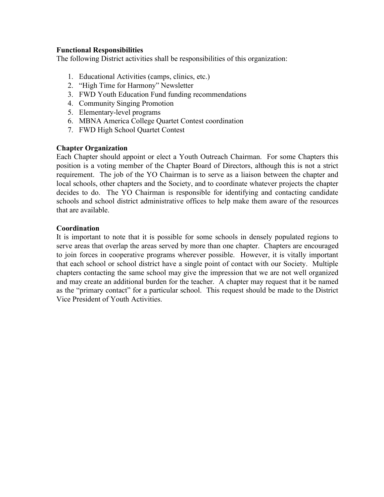#### **Functional Responsibilities**

The following District activities shall be responsibilities of this organization:

- 1. Educational Activities (camps, clinics, etc.)
- 2. "High Time for Harmony" Newsletter
- 3. FWD Youth Education Fund funding recommendations
- 4. Community Singing Promotion
- 5. Elementary-level programs
- 6. MBNA America College Quartet Contest coordination
- 7. FWD High School Quartet Contest

#### **Chapter Organization**

Each Chapter should appoint or elect a Youth Outreach Chairman. For some Chapters this position is a voting member of the Chapter Board of Directors, although this is not a strict requirement. The job of the YO Chairman is to serve as a liaison between the chapter and local schools, other chapters and the Society, and to coordinate whatever projects the chapter decides to do. The YO Chairman is responsible for identifying and contacting candidate schools and school district administrative offices to help make them aware of the resources that are available.

#### **Coordination**

It is important to note that it is possible for some schools in densely populated regions to serve areas that overlap the areas served by more than one chapter. Chapters are encouraged to join forces in cooperative programs wherever possible. However, it is vitally important that each school or school district have a single point of contact with our Society. Multiple chapters contacting the same school may give the impression that we are not well organized and may create an additional burden for the teacher. A chapter may request that it be named as the "primary contact" for a particular school. This request should be made to the District Vice President of Youth Activities.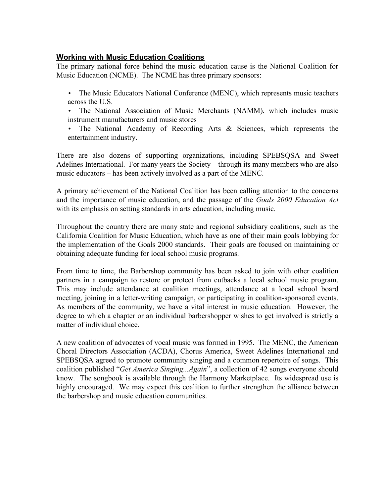# **Working with Music Education Coalitions**

The primary national force behind the music education cause is the National Coalition for Music Education (NCME). The NCME has three primary sponsors:

- The Music Educators National Conference (MENC), which represents music teachers across the U.S.
- The National Association of Music Merchants (NAMM), which includes music instrument manufacturers and music stores
- The National Academy of Recording Arts & Sciences, which represents the entertainment industry.

There are also dozens of supporting organizations, including SPEBSQSA and Sweet Adelines International. For many years the Society – through its many members who are also music educators – has been actively involved as a part of the MENC.

A primary achievement of the National Coalition has been calling attention to the concerns and the importance of music education, and the passage of the *Goals 2000 Education Act* with its emphasis on setting standards in arts education, including music.

Throughout the country there are many state and regional subsidiary coalitions, such as the California Coalition for Music Education, which have as one of their main goals lobbying for the implementation of the Goals 2000 standards. Their goals are focused on maintaining or obtaining adequate funding for local school music programs.

From time to time, the Barbershop community has been asked to join with other coalition partners in a campaign to restore or protect from cutbacks a local school music program. This may include attendance at coalition meetings, attendance at a local school board meeting, joining in a letter-writing campaign, or participating in coalition-sponsored events. As members of the community, we have a vital interest in music education. However, the degree to which a chapter or an individual barbershopper wishes to get involved is strictly a matter of individual choice.

A new coalition of advocates of vocal music was formed in 1995. The MENC, the American Choral Directors Association (ACDA), Chorus America, Sweet Adelines International and SPEBSQSA agreed to promote community singing and a common repertoire of songs. This coalition published "*Get America Singing...Again*", a collection of 42 songs everyone should know. The songbook is available through the Harmony Marketplace. Its widespread use is highly encouraged. We may expect this coalition to further strengthen the alliance between the barbershop and music education communities.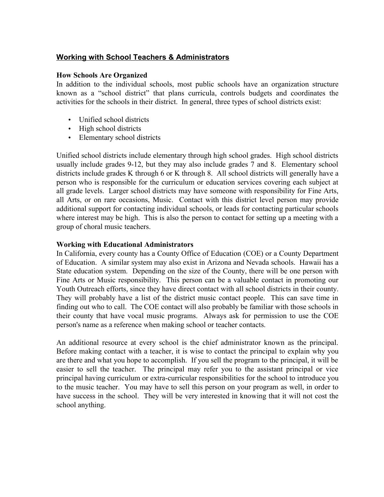# **Working with School Teachers & Administrators**

#### **How Schools Are Organized**

In addition to the individual schools, most public schools have an organization structure known as a "school district" that plans curricula, controls budgets and coordinates the activities for the schools in their district. In general, three types of school districts exist:

- Unified school districts
- High school districts
- Elementary school districts

Unified school districts include elementary through high school grades. High school districts usually include grades 9-12, but they may also include grades 7 and 8. Elementary school districts include grades K through 6 or K through 8. All school districts will generally have a person who is responsible for the curriculum or education services covering each subject at all grade levels. Larger school districts may have someone with responsibility for Fine Arts, all Arts, or on rare occasions, Music. Contact with this district level person may provide additional support for contacting individual schools, or leads for contacting particular schools where interest may be high. This is also the person to contact for setting up a meeting with a group of choral music teachers.

#### **Working with Educational Administrators**

In California, every county has a County Office of Education (COE) or a County Department of Education. A similar system may also exist in Arizona and Nevada schools. Hawaii has a State education system. Depending on the size of the County, there will be one person with Fine Arts or Music responsibility. This person can be a valuable contact in promoting our Youth Outreach efforts, since they have direct contact with all school districts in their county. They will probably have a list of the district music contact people. This can save time in finding out who to call. The COE contact will also probably be familiar with those schools in their county that have vocal music programs. Always ask for permission to use the COE person's name as a reference when making school or teacher contacts.

An additional resource at every school is the chief administrator known as the principal. Before making contact with a teacher, it is wise to contact the principal to explain why you are there and what you hope to accomplish. If you sell the program to the principal, it will be easier to sell the teacher. The principal may refer you to the assistant principal or vice principal having curriculum or extra-curricular responsibilities for the school to introduce you to the music teacher. You may have to sell this person on your program as well, in order to have success in the school. They will be very interested in knowing that it will not cost the school anything.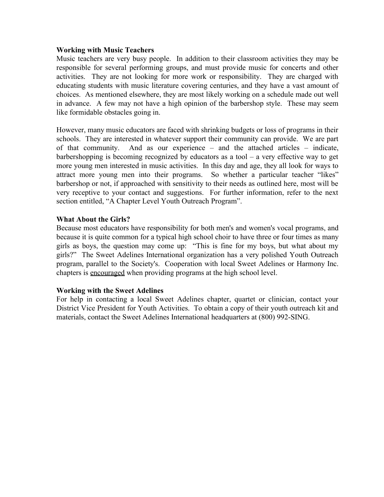#### **Working with Music Teachers**

Music teachers are very busy people. In addition to their classroom activities they may be responsible for several performing groups, and must provide music for concerts and other activities. They are not looking for more work or responsibility. They are charged with educating students with music literature covering centuries, and they have a vast amount of choices. As mentioned elsewhere, they are most likely working on a schedule made out well in advance. A few may not have a high opinion of the barbershop style. These may seem like formidable obstacles going in.

However, many music educators are faced with shrinking budgets or loss of programs in their schools. They are interested in whatever support their community can provide. We are part of that community. And as our experience – and the attached articles – indicate, barbershopping is becoming recognized by educators as a tool – a very effective way to get more young men interested in music activities. In this day and age, they all look for ways to attract more young men into their programs. So whether a particular teacher "likes" barbershop or not, if approached with sensitivity to their needs as outlined here, most will be very receptive to your contact and suggestions. For further information, refer to the next section entitled, "A Chapter Level Youth Outreach Program".

#### **What About the Girls?**

Because most educators have responsibility for both men's and women's vocal programs, and because it is quite common for a typical high school choir to have three or four times as many girls as boys, the question may come up: "This is fine for my boys, but what about my girls?" The Sweet Adelines International organization has a very polished Youth Outreach program, parallel to the Society's. Cooperation with local Sweet Adelines or Harmony Inc. chapters is encouraged when providing programs at the high school level.

#### **Working with the Sweet Adelines**

For help in contacting a local Sweet Adelines chapter, quartet or clinician, contact your District Vice President for Youth Activities. To obtain a copy of their youth outreach kit and materials, contact the Sweet Adelines International headquarters at (800) 992-SING.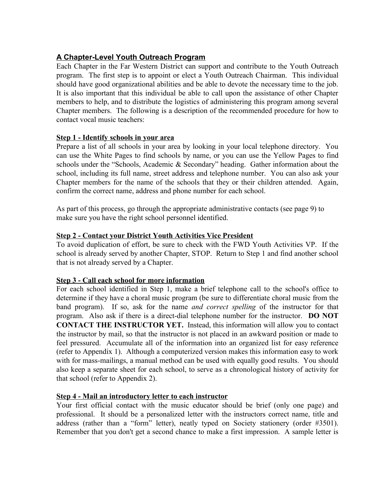# **A Chapter-Level Youth Outreach Program**

Each Chapter in the Far Western District can support and contribute to the Youth Outreach program. The first step is to appoint or elect a Youth Outreach Chairman. This individual should have good organizational abilities and be able to devote the necessary time to the job. It is also important that this individual be able to call upon the assistance of other Chapter members to help, and to distribute the logistics of administering this program among several Chapter members. The following is a description of the recommended procedure for how to contact vocal music teachers:

#### **Step 1 - Identify schools in your area**

Prepare a list of all schools in your area by looking in your local telephone directory. You can use the White Pages to find schools by name, or you can use the Yellow Pages to find schools under the "Schools, Academic & Secondary" heading. Gather information about the school, including its full name, street address and telephone number. You can also ask your Chapter members for the name of the schools that they or their children attended. Again, confirm the correct name, address and phone number for each school.

As part of this process, go through the appropriate administrative contacts (see page 9) to make sure you have the right school personnel identified.

#### **Step 2 - Contact your District Youth Activities Vice President**

To avoid duplication of effort, be sure to check with the FWD Youth Activities VP. If the school is already served by another Chapter, STOP. Return to Step 1 and find another school that is not already served by a Chapter.

## **Step 3 - Call each school for more information**

For each school identified in Step 1, make a brief telephone call to the school's office to determine if they have a choral music program (be sure to differentiate choral music from the band program). If so, ask for the name *and correct spelling* of the instructor for that program. Also ask if there is a direct-dial telephone number for the instructor. **DO NOT CONTACT THE INSTRUCTOR YET.** Instead, this information will allow you to contact the instructor by mail, so that the instructor is not placed in an awkward position or made to feel pressured. Accumulate all of the information into an organized list for easy reference (refer to Appendix 1). Although a computerized version makes this information easy to work with for mass-mailings, a manual method can be used with equally good results. You should also keep a separate sheet for each school, to serve as a chronological history of activity for that school (refer to Appendix 2).

## **Step 4 - Mail an introductory letter to each instructor**

Your first official contact with the music educator should be brief (only one page) and professional. It should be a personalized letter with the instructors correct name, title and address (rather than a "form" letter), neatly typed on Society stationery (order #3501). Remember that you don't get a second chance to make a first impression. A sample letter is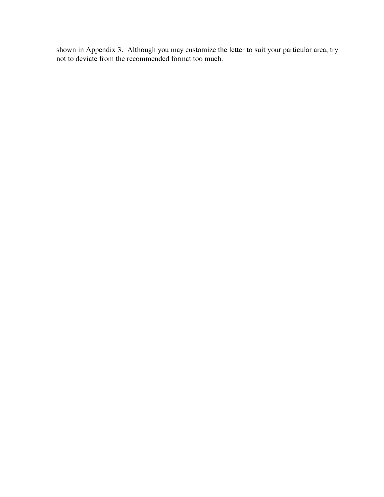shown in Appendix 3. Although you may customize the letter to suit your particular area, try not to deviate from the recommended format too much.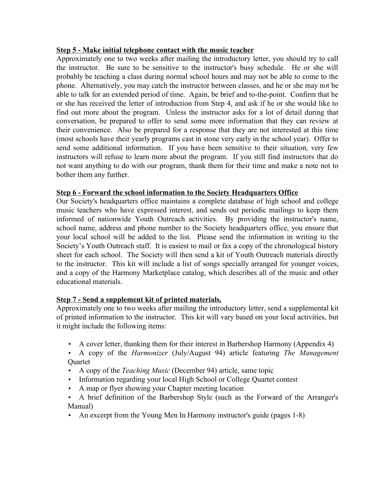#### **Step 5 - Make initial telephone contact with the music teacher**

Approximately one to two weeks after mailing the introductory letter, you should try to call the instructor. Be sure to be sensitive to the instructor's busy schedule. He or she will probably be teaching a class during normal school hours and may not be able to come to the phone. Alternatively, you may catch the instructor between classes, and he or she may not be able to talk for an extended period of time. Again, be brief and to-the-point. Confirm that he or she has received the letter of introduction from Step 4, and ask if he or she would like to find out more about the program. Unless the instructor asks for a lot of detail during that conversation, be prepared to offer to send some more information that they can review at their convenience. Also be prepared for a response that they are not interested at this time (most schools have their yearly programs cast in stone very early in the school year). Offer to send some additional information. If you have been sensitive to their situation, very few instructors will refuse to learn more about the program. If you still find instructors that do not want anything to do with our program, thank them for their time and make a note not to bother them any further.

## **Step 6 - Forward the school information to the Society Headquarters Office**

Our Society's headquarters office maintains a complete database of high school and college music teachers who have expressed interest, and sends out periodic mailings to keep them informed of nationwide Youth Outreach activities. By providing the instructor's name, school name, address and phone number to the Society headquarters office, you ensure that your local school will be added to the list. Please send the information in writing to the Society's Youth Outreach staff. It is easiest to mail or fax a copy of the chronological history sheet for each school. The Society will then send a kit of Youth Outreach materials directly to the instructor. This kit will include a list of songs specially arranged for younger voices, and a copy of the Harmony Marketplace catalog, which describes all of the music and other educational materials.

## **Step 7 - Send a supplement kit of printed materials.**

Approximately one to two weeks after mailing the introductory letter, send a supplemental kit of printed information to the instructor. This kit will vary based on your local activities, but it might include the following items:

- A cover letter, thanking them for their interest in Barbershop Harmony (Appendix 4)
- A copy of the *Harmonizer* (July/August 94) article featuring *The Management* Quartet
- A copy of the *Teaching Music* (December 94) article, same topic
- Information regarding your local High School or College Quartet contest
- A map or flyer showing your Chapter meeting location
- A brief definition of the Barbershop Style (such as the Forward of the Arranger's Manual)
- An excerpt from the Young Men In Harmony instructor's guide (pages 1-8)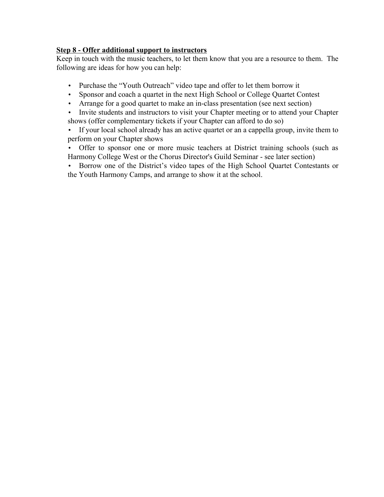# **Step 8 - Offer additional support to instructors**

Keep in touch with the music teachers, to let them know that you are a resource to them. The following are ideas for how you can help:

- Purchase the "Youth Outreach" video tape and offer to let them borrow it
- Sponsor and coach a quartet in the next High School or College Quartet Contest
- Arrange for a good quartet to make an in-class presentation (see next section)
- Invite students and instructors to visit your Chapter meeting or to attend your Chapter shows (offer complementary tickets if your Chapter can afford to do so)
- If your local school already has an active quartet or an a cappella group, invite them to perform on your Chapter shows
- Offer to sponsor one or more music teachers at District training schools (such as Harmony College West or the Chorus Director's Guild Seminar - see later section)
- Borrow one of the District's video tapes of the High School Quartet Contestants or the Youth Harmony Camps, and arrange to show it at the school.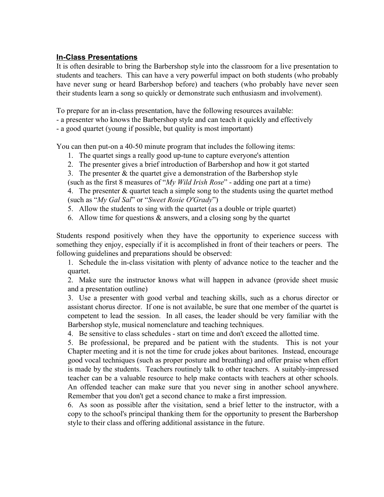# **In-Class Presentations**

It is often desirable to bring the Barbershop style into the classroom for a live presentation to students and teachers. This can have a very powerful impact on both students (who probably have never sung or heard Barbershop before) and teachers (who probably have never seen their students learn a song so quickly or demonstrate such enthusiasm and involvement).

To prepare for an in-class presentation, have the following resources available:

- a presenter who knows the Barbershop style and can teach it quickly and effectively
- a good quartet (young if possible, but quality is most important)

You can then put-on a 40-50 minute program that includes the following items:

- 1. The quartet sings a really good up-tune to capture everyone's attention
- 2. The presenter gives a brief introduction of Barbershop and how it got started
- 3. The presenter  $&$  the quartet give a demonstration of the Barbershop style

(such as the first 8 measures of "*My Wild Irish Rose*" - adding one part at a time)

4. The presenter & quartet teach a simple song to the students using the quartet method (such as "*My Gal Sal*" or "*Sweet Rosie O'Grady*")

- 5. Allow the students to sing with the quartet (as a double or triple quartet)
- 6. Allow time for questions  $\&$  answers, and a closing song by the quartet

Students respond positively when they have the opportunity to experience success with something they enjoy, especially if it is accomplished in front of their teachers or peers. The following guidelines and preparations should be observed:

1. Schedule the in-class visitation with plenty of advance notice to the teacher and the quartet.

2. Make sure the instructor knows what will happen in advance (provide sheet music and a presentation outline)

3. Use a presenter with good verbal and teaching skills, such as a chorus director or assistant chorus director. If one is not available, be sure that one member of the quartet is competent to lead the session. In all cases, the leader should be very familiar with the Barbershop style, musical nomenclature and teaching techniques.

4. Be sensitive to class schedules - start on time and don't exceed the allotted time.

5. Be professional, be prepared and be patient with the students. This is not your Chapter meeting and it is not the time for crude jokes about baritones. Instead, encourage good vocal techniques (such as proper posture and breathing) and offer praise when effort is made by the students. Teachers routinely talk to other teachers. A suitably-impressed teacher can be a valuable resource to help make contacts with teachers at other schools. An offended teacher can make sure that you never sing in another school anywhere. Remember that you don't get a second chance to make a first impression.

6. As soon as possible after the visitation, send a brief letter to the instructor, with a copy to the school's principal thanking them for the opportunity to present the Barbershop style to their class and offering additional assistance in the future.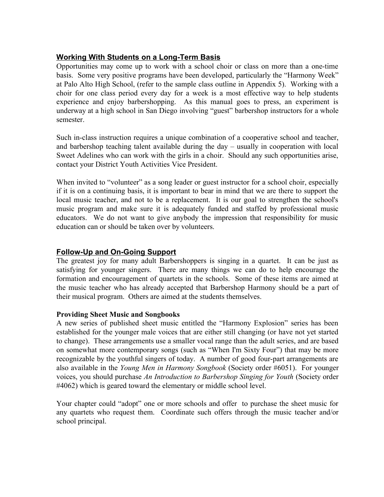# **Working With Students on a Long-Term Basis**

Opportunities may come up to work with a school choir or class on more than a one-time basis. Some very positive programs have been developed, particularly the "Harmony Week" at Palo Alto High School, (refer to the sample class outline in Appendix 5). Working with a choir for one class period every day for a week is a most effective way to help students experience and enjoy barbershopping. As this manual goes to press, an experiment is underway at a high school in San Diego involving "guest" barbershop instructors for a whole semester.

Such in-class instruction requires a unique combination of a cooperative school and teacher, and barbershop teaching talent available during the day – usually in cooperation with local Sweet Adelines who can work with the girls in a choir. Should any such opportunities arise, contact your District Youth Activities Vice President.

When invited to "volunteer" as a song leader or guest instructor for a school choir, especially if it is on a continuing basis, it is important to bear in mind that we are there to support the local music teacher, and not to be a replacement. It is our goal to strengthen the school's music program and make sure it is adequately funded and staffed by professional music educators. We do not want to give anybody the impression that responsibility for music education can or should be taken over by volunteers.

# **Follow-Up and On-Going Support**

The greatest joy for many adult Barbershoppers is singing in a quartet. It can be just as satisfying for younger singers. There are many things we can do to help encourage the formation and encouragement of quartets in the schools. Some of these items are aimed at the music teacher who has already accepted that Barbershop Harmony should be a part of their musical program. Others are aimed at the students themselves.

## **Providing Sheet Music and Songbooks**

A new series of published sheet music entitled the "Harmony Explosion" series has been established for the younger male voices that are either still changing (or have not yet started to change). These arrangements use a smaller vocal range than the adult series, and are based on somewhat more contemporary songs (such as "When I'm Sixty Four") that may be more recognizable by the youthful singers of today. A number of good four-part arrangements are also available in the *Young Men in Harmony Songbook* (Society order #6051). For younger voices, you should purchase *An Introduction to Barbershop Singing for Youth* (Society order #4062) which is geared toward the elementary or middle school level.

Your chapter could "adopt" one or more schools and offer to purchase the sheet music for any quartets who request them. Coordinate such offers through the music teacher and/or school principal.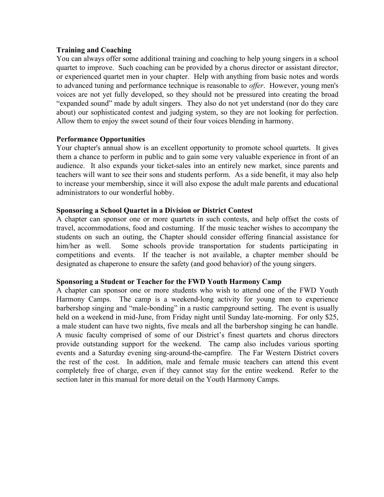#### **Training and Coaching**

You can always offer some additional training and coaching to help young singers in a school quartet to improve. Such coaching can be provided by a chorus director or assistant director, or experienced quartet men in your chapter. Help with anything from basic notes and words to advanced tuning and performance technique is reasonable to *offer*. However, young men's voices are not yet fully developed, so they should not be pressured into creating the broad "expanded sound" made by adult singers. They also do not yet understand (nor do they care about) our sophisticated contest and judging system, so they are not looking for perfection. Allow them to enjoy the sweet sound of their four voices blending in harmony.

#### **Performance Opportunities**

Your chapter's annual show is an excellent opportunity to promote school quartets. It gives them a chance to perform in public and to gain some very valuable experience in front of an audience. It also expands your ticket-sales into an entirely new market, since parents and teachers will want to see their sons and students perform. As a side benefit, it may also help to increase your membership, since it will also expose the adult male parents and educational administrators to our wonderful hobby.

#### **Sponsoring a School Quartet in a Division or District Contest**

A chapter can sponsor one or more quartets in such contests, and help offset the costs of travel, accommodations, food and costuming. If the music teacher wishes to accompany the students on such an outing, the Chapter should consider offering financial assistance for him/her as well. Some schools provide transportation for students participating in competitions and events. If the teacher is not available, a chapter member should be designated as chaperone to ensure the safety (and good behavior) of the young singers.

#### **Sponsoring a Student or Teacher for the FWD Youth Harmony Camp**

A chapter can sponsor one or more students who wish to attend one of the FWD Youth Harmony Camps. The camp is a weekend-long activity for young men to experience barbershop singing and "male-bonding" in a rustic campground setting. The event is usually held on a weekend in mid-June, from Friday night until Sunday late-morning. For only \$25, a male student can have two nights, five meals and all the barbershop singing he can handle. A music faculty comprised of some of our District's finest quartets and chorus directors provide outstanding support for the weekend. The camp also includes various sporting events and a Saturday evening sing-around-the-campfire. The Far Western District covers the rest of the cost. In addition, male and female music teachers can attend this event completely free of charge, even if they cannot stay for the entire weekend. Refer to the section later in this manual for more detail on the Youth Harmony Camps.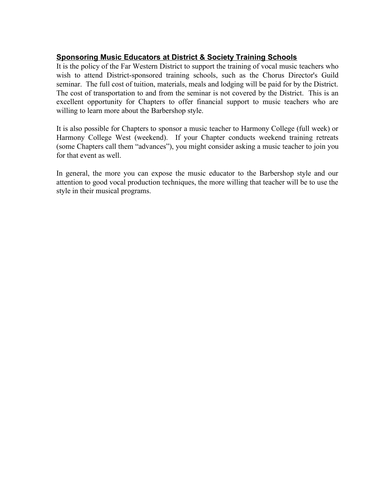# **Sponsoring Music Educators at District & Society Training Schools**

It is the policy of the Far Western District to support the training of vocal music teachers who wish to attend District-sponsored training schools, such as the Chorus Director's Guild seminar. The full cost of tuition, materials, meals and lodging will be paid for by the District. The cost of transportation to and from the seminar is not covered by the District. This is an excellent opportunity for Chapters to offer financial support to music teachers who are willing to learn more about the Barbershop style.

It is also possible for Chapters to sponsor a music teacher to Harmony College (full week) or Harmony College West (weekend). If your Chapter conducts weekend training retreats (some Chapters call them "advances"), you might consider asking a music teacher to join you for that event as well.

In general, the more you can expose the music educator to the Barbershop style and our attention to good vocal production techniques, the more willing that teacher will be to use the style in their musical programs.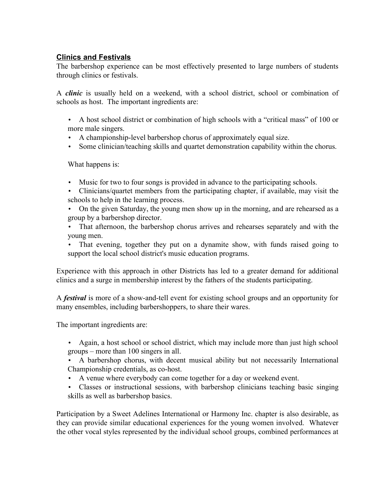# **Clinics and Festivals**

The barbershop experience can be most effectively presented to large numbers of students through clinics or festivals.

A *clinic* is usually held on a weekend, with a school district, school or combination of schools as host. The important ingredients are:

- A host school district or combination of high schools with a "critical mass" of 100 or more male singers.
- A championship-level barbershop chorus of approximately equal size.
- Some clinician/teaching skills and quartet demonstration capability within the chorus.

What happens is:

- Music for two to four songs is provided in advance to the participating schools.
- Clinicians/quartet members from the participating chapter, if available, may visit the schools to help in the learning process.
- On the given Saturday, the young men show up in the morning, and are rehearsed as a group by a barbershop director.
- That afternoon, the barbershop chorus arrives and rehearses separately and with the young men.
- That evening, together they put on a dynamite show, with funds raised going to support the local school district's music education programs.

Experience with this approach in other Districts has led to a greater demand for additional clinics and a surge in membership interest by the fathers of the students participating.

A *festival* is more of a show-and-tell event for existing school groups and an opportunity for many ensembles, including barbershoppers, to share their wares.

The important ingredients are:

- Again, a host school or school district, which may include more than just high school groups – more than 100 singers in all.
- A barbershop chorus, with decent musical ability but not necessarily International Championship credentials, as co-host.
- A venue where everybody can come together for a day or weekend event.
- Classes or instructional sessions, with barbershop clinicians teaching basic singing skills as well as barbershop basics.

Participation by a Sweet Adelines International or Harmony Inc. chapter is also desirable, as they can provide similar educational experiences for the young women involved. Whatever the other vocal styles represented by the individual school groups, combined performances at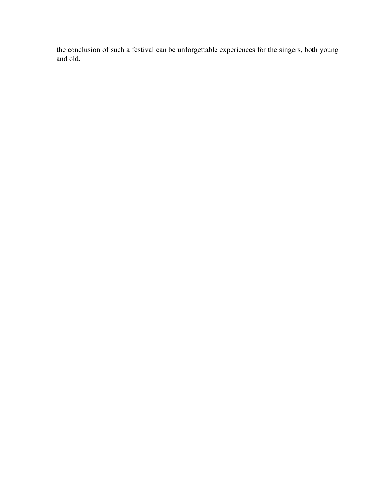the conclusion of such a festival can be unforgettable experiences for the singers, both young and old.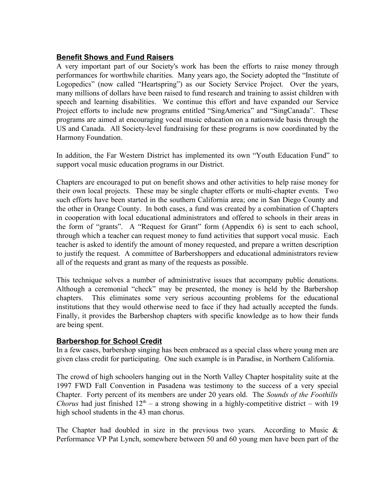# **Benefit Shows and Fund Raisers**

A very important part of our Society's work has been the efforts to raise money through performances for worthwhile charities. Many years ago, the Society adopted the "Institute of Logopedics" (now called "Heartspring") as our Society Service Project. Over the years, many millions of dollars have been raised to fund research and training to assist children with speech and learning disabilities. We continue this effort and have expanded our Service Project efforts to include new programs entitled "SingAmerica" and "SingCanada". These programs are aimed at encouraging vocal music education on a nationwide basis through the US and Canada. All Society-level fundraising for these programs is now coordinated by the Harmony Foundation.

In addition, the Far Western District has implemented its own "Youth Education Fund" to support vocal music education programs in our District.

Chapters are encouraged to put on benefit shows and other activities to help raise money for their own local projects. These may be single chapter efforts or multi-chapter events. Two such efforts have been started in the southern California area; one in San Diego County and the other in Orange County. In both cases, a fund was created by a combination of Chapters in cooperation with local educational administrators and offered to schools in their areas in the form of "grants". A "Request for Grant" form (Appendix 6) is sent to each school, through which a teacher can request money to fund activities that support vocal music. Each teacher is asked to identify the amount of money requested, and prepare a written description to justify the request. A committee of Barbershoppers and educational administrators review all of the requests and grant as many of the requests as possible.

This technique solves a number of administrative issues that accompany public donations. Although a ceremonial "check" may be presented, the money is held by the Barbershop chapters. This eliminates some very serious accounting problems for the educational institutions that they would otherwise need to face if they had actually accepted the funds. Finally, it provides the Barbershop chapters with specific knowledge as to how their funds are being spent.

## **Barbershop for School Credit**

In a few cases, barbershop singing has been embraced as a special class where young men are given class credit for participating. One such example is in Paradise, in Northern California.

The crowd of high schoolers hanging out in the North Valley Chapter hospitality suite at the 1997 FWD Fall Convention in Pasadena was testimony to the success of a very special Chapter. Forty percent of its members are under 20 years old. The *Sounds of the Foothills Chorus* had just finished  $12<sup>th</sup> - a$  strong showing in a highly-competitive district – with 19 high school students in the 43 man chorus.

The Chapter had doubled in size in the previous two years. According to Music  $\&$ Performance VP Pat Lynch, somewhere between 50 and 60 young men have been part of the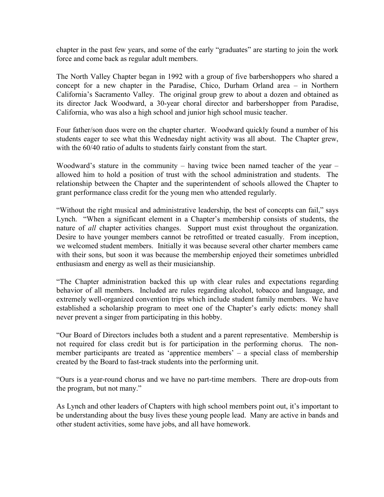chapter in the past few years, and some of the early "graduates" are starting to join the work force and come back as regular adult members.

The North Valley Chapter began in 1992 with a group of five barbershoppers who shared a concept for a new chapter in the Paradise, Chico, Durham Orland area – in Northern California's Sacramento Valley. The original group grew to about a dozen and obtained as its director Jack Woodward, a 30-year choral director and barbershopper from Paradise, California, who was also a high school and junior high school music teacher.

Four father/son duos were on the chapter charter. Woodward quickly found a number of his students eager to see what this Wednesday night activity was all about. The Chapter grew, with the  $60/40$  ratio of adults to students fairly constant from the start.

Woodward's stature in the community – having twice been named teacher of the year – allowed him to hold a position of trust with the school administration and students. The relationship between the Chapter and the superintendent of schools allowed the Chapter to grant performance class credit for the young men who attended regularly.

"Without the right musical and administrative leadership, the best of concepts can fail," says Lynch. "When a significant element in a Chapter's membership consists of students, the nature of *all* chapter activities changes. Support must exist throughout the organization. Desire to have younger members cannot be retrofitted or treated casually. From inception, we welcomed student members. Initially it was because several other charter members came with their sons, but soon it was because the membership enjoyed their sometimes unbridled enthusiasm and energy as well as their musicianship.

"The Chapter administration backed this up with clear rules and expectations regarding behavior of all members. Included are rules regarding alcohol, tobacco and language, and extremely well-organized convention trips which include student family members. We have established a scholarship program to meet one of the Chapter's early edicts: money shall never prevent a singer from participating in this hobby.

"Our Board of Directors includes both a student and a parent representative. Membership is not required for class credit but is for participation in the performing chorus. The nonmember participants are treated as 'apprentice members' – a special class of membership created by the Board to fast-track students into the performing unit.

"Ours is a year-round chorus and we have no part-time members. There are drop-outs from the program, but not many."

As Lynch and other leaders of Chapters with high school members point out, it's important to be understanding about the busy lives these young people lead. Many are active in bands and other student activities, some have jobs, and all have homework.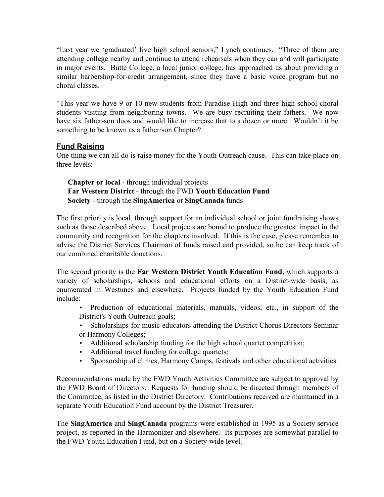"Last year we 'graduated' five high school seniors," Lynch continues. "Three of them are attending college nearby and continue to attend rehearsals when they can and will participate in major events. Butte College, a local junior college, has approached us about providing a similar barbershop-for-credit arrangement, since they have a basic voice program but no choral classes.

"This year we have 9 or 10 new students from Paradise High and three high school choral students visiting from neighboring towns. We are busy recruiting their fathers. We now have six father-son duos and would like to increase that to a dozen or more. Wouldn't it be something to be known as a father/son Chapter?

# **Fund Raising**

One thing we can all do is raise money for the Youth Outreach cause. This can take place on three levels:

**Chapter or local** - through individual projects **Far Western District** - through the FWD **Youth Education Fund Society** - through the **SingAmerica** or **SingCanada** funds

The first priority is local, through support for an individual school or joint fundraising shows such as those described above. Local projects are bound to produce the greatest impact in the community and recognition for the chapters involved. If this is the case, please remember to advise the District Services Chairman of funds raised and provided, so he can keep track of our combined charitable donations.

The second priority is the **Far Western District Youth Education Fund**, which supports a variety of scholarships, schools and educational efforts on a District-wide basis, as enumerated in Westunes and elsewhere. Projects funded by the Youth Education Fund include:

- Production of educational materials, manuals, videos, etc., in support of the District's Youth Outreach goals;
- Scholarships for music educators attending the District Chorus Directors Seminar or Harmony Colleges;
- Additional scholarship funding for the high school quartet competition;
- Additional travel funding for college quartets;
- Sponsorship of clinics, Harmony Camps, festivals and other educational activities.

Recommendations made by the FWD Youth Activities Committee are subject to approval by the FWD Board of Directors. Requests for funding should be directed through members of the Committee, as listed in the District Directory. Contributions received are maintained in a separate Youth Education Fund account by the District Treasurer.

The **SingAmerica** and **SingCanada** programs were established in 1995 as a Society service project, as reported in the Harmonizer and elsewhere. Its purposes are somewhat parallel to the FWD Youth Education Fund, but on a Society-wide level.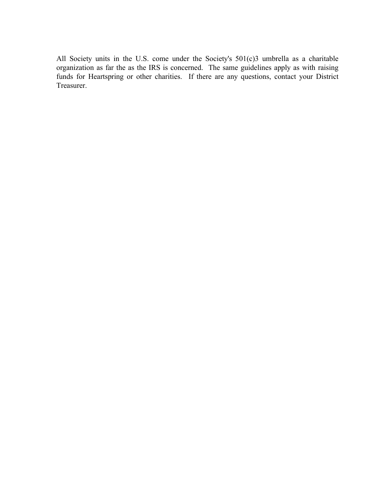All Society units in the U.S. come under the Society's 501(c)3 umbrella as a charitable organization as far the as the IRS is concerned. The same guidelines apply as with raising funds for Heartspring or other charities. If there are any questions, contact your District Treasurer.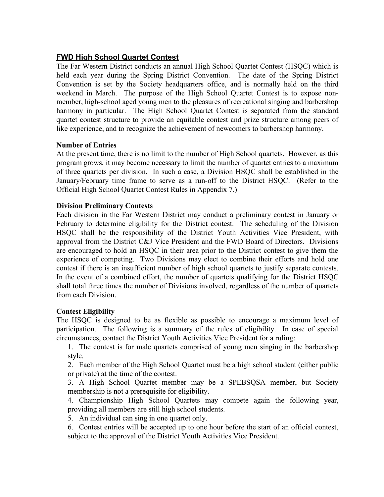# **FWD High School Quartet Contest**

The Far Western District conducts an annual High School Quartet Contest (HSQC) which is held each year during the Spring District Convention. The date of the Spring District Convention is set by the Society headquarters office, and is normally held on the third weekend in March. The purpose of the High School Quartet Contest is to expose nonmember, high-school aged young men to the pleasures of recreational singing and barbershop harmony in particular. The High School Quartet Contest is separated from the standard quartet contest structure to provide an equitable contest and prize structure among peers of like experience, and to recognize the achievement of newcomers to barbershop harmony.

## **Number of Entries**

At the present time, there is no limit to the number of High School quartets. However, as this program grows, it may become necessary to limit the number of quartet entries to a maximum of three quartets per division. In such a case, a Division HSQC shall be established in the January/February time frame to serve as a run-off to the District HSQC. (Refer to the Official High School Quartet Contest Rules in Appendix 7.)

#### **Division Preliminary Contests**

Each division in the Far Western District may conduct a preliminary contest in January or February to determine eligibility for the District contest. The scheduling of the Division HSQC shall be the responsibility of the District Youth Activities Vice President, with approval from the District C&J Vice President and the FWD Board of Directors. Divisions are encouraged to hold an HSQC in their area prior to the District contest to give them the experience of competing. Two Divisions may elect to combine their efforts and hold one contest if there is an insufficient number of high school quartets to justify separate contests. In the event of a combined effort, the number of quartets qualifying for the District HSQC shall total three times the number of Divisions involved, regardless of the number of quartets from each Division.

#### **Contest Eligibility**

The HSQC is designed to be as flexible as possible to encourage a maximum level of participation. The following is a summary of the rules of eligibility. In case of special circumstances, contact the District Youth Activities Vice President for a ruling:

1. The contest is for male quartets comprised of young men singing in the barbershop style.

2. Each member of the High School Quartet must be a high school student (either public or private) at the time of the contest.

3. A High School Quartet member may be a SPEBSQSA member, but Society membership is not a prerequisite for eligibility.

4. Championship High School Quartets may compete again the following year, providing all members are still high school students.

5. An individual can sing in one quartet only.

6. Contest entries will be accepted up to one hour before the start of an official contest, subject to the approval of the District Youth Activities Vice President.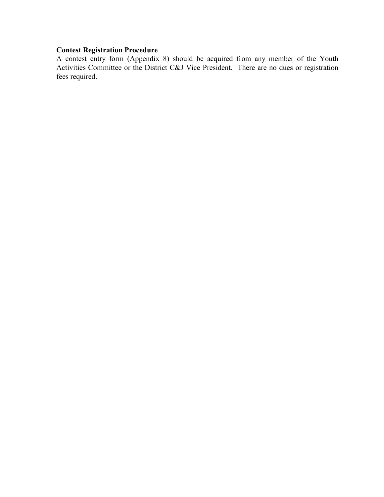# **Contest Registration Procedure**

A contest entry form (Appendix 8) should be acquired from any member of the Youth Activities Committee or the District C&J Vice President. There are no dues or registration fees required.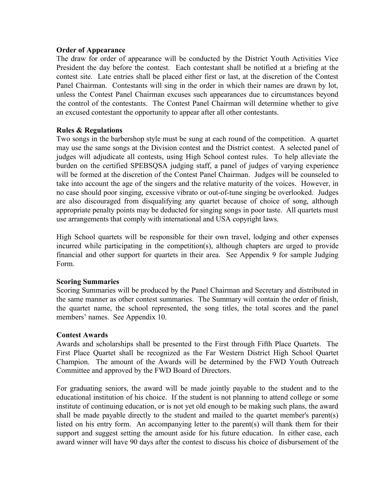#### **Order of Appearance**

The draw for order of appearance will be conducted by the District Youth Activities Vice President the day before the contest. Each contestant shall be notified at a briefing at the contest site. Late entries shall be placed either first or last, at the discretion of the Contest Panel Chairman. Contestants will sing in the order in which their names are drawn by lot, unless the Contest Panel Chairman excuses such appearances due to circumstances beyond the control of the contestants. The Contest Panel Chairman will determine whether to give an excused contestant the opportunity to appear after all other contestants.

#### **Rules & Regulations**

Two songs in the barbershop style must be sung at each round of the competition. A quartet may use the same songs at the Division contest and the District contest. A selected panel of judges will adjudicate all contests, using High School contest rules. To help alleviate the burden on the certified SPEBSQSA judging staff, a panel of judges of varying experience will be formed at the discretion of the Contest Panel Chairman. Judges will be counseled to take into account the age of the singers and the relative maturity of the voices. However, in no case should poor singing, excessive vibrato or out-of-tune singing be overlooked. Judges are also discouraged from disqualifying any quartet because of choice of song, although appropriate penalty points may be deducted for singing songs in poor taste. All quartets must use arrangements that comply with international and USA copyright laws.

High School quartets will be responsible for their own travel, lodging and other expenses incurred while participating in the competition(s), although chapters are urged to provide financial and other support for quartets in their area. See Appendix 9 for sample Judging Form.

#### **Scoring Summaries**

Scoring Summaries will be produced by the Panel Chairman and Secretary and distributed in the same manner as other contest summaries. The Summary will contain the order of finish, the quartet name, the school represented, the song titles, the total scores and the panel members' names. See Appendix 10.

## **Contest Awards**

Awards and scholarships shall be presented to the First through Fifth Place Quartets. The First Place Quartet shall be recognized as the Far Western District High School Quartet Champion. The amount of the Awards will be determined by the FWD Youth Outreach Committee and approved by the FWD Board of Directors.

For graduating seniors, the award will be made jointly payable to the student and to the educational institution of his choice. If the student is not planning to attend college or some institute of continuing education, or is not yet old enough to be making such plans, the award shall be made payable directly to the student and mailed to the quartet member's parent(s) listed on his entry form. An accompanying letter to the parent(s) will thank them for their support and suggest setting the amount aside for his future education. In either case, each award winner will have 90 days after the contest to discuss his choice of disbursement of the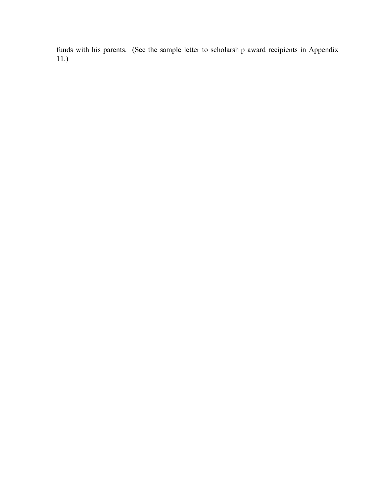funds with his parents. (See the sample letter to scholarship award recipients in Appendix 11.)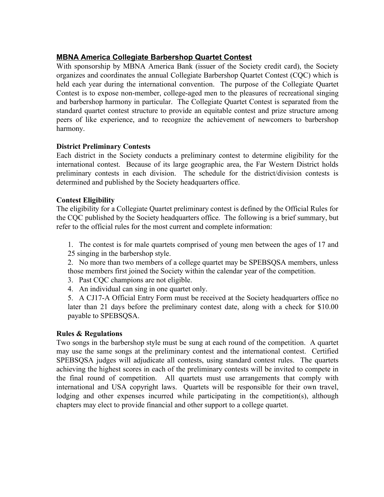# **MBNA America Collegiate Barbershop Quartet Contest**

With sponsorship by MBNA America Bank (issuer of the Society credit card), the Society organizes and coordinates the annual Collegiate Barbershop Quartet Contest (CQC) which is held each year during the international convention. The purpose of the Collegiate Quartet Contest is to expose non-member, college-aged men to the pleasures of recreational singing and barbershop harmony in particular. The Collegiate Quartet Contest is separated from the standard quartet contest structure to provide an equitable contest and prize structure among peers of like experience, and to recognize the achievement of newcomers to barbershop harmony.

#### **District Preliminary Contests**

Each district in the Society conducts a preliminary contest to determine eligibility for the international contest. Because of its large geographic area, the Far Western District holds preliminary contests in each division. The schedule for the district/division contests is determined and published by the Society headquarters office.

#### **Contest Eligibility**

The eligibility for a Collegiate Quartet preliminary contest is defined by the Official Rules for the CQC published by the Society headquarters office. The following is a brief summary, but refer to the official rules for the most current and complete information:

1. The contest is for male quartets comprised of young men between the ages of 17 and 25 singing in the barbershop style.

2. No more than two members of a college quartet may be SPEBSQSA members, unless those members first joined the Society within the calendar year of the competition.

- 3. Past CQC champions are not eligible.
- 4. An individual can sing in one quartet only.
- 5. A CJ17-A Official Entry Form must be received at the Society headquarters office no later than 21 days before the preliminary contest date, along with a check for \$10.00 payable to SPEBSQSA.

#### **Rules & Regulations**

Two songs in the barbershop style must be sung at each round of the competition. A quartet may use the same songs at the preliminary contest and the international contest. Certified SPEBSQSA judges will adjudicate all contests, using standard contest rules. The quartets achieving the highest scores in each of the preliminary contests will be invited to compete in the final round of competition. All quartets must use arrangements that comply with international and USA copyright laws. Quartets will be responsible for their own travel, lodging and other expenses incurred while participating in the competition(s), although chapters may elect to provide financial and other support to a college quartet.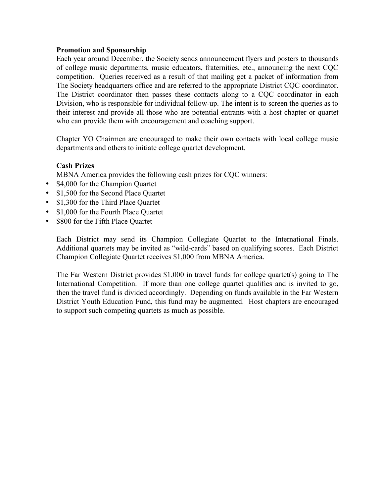#### **Promotion and Sponsorship**

Each year around December, the Society sends announcement flyers and posters to thousands of college music departments, music educators, fraternities, etc., announcing the next CQC competition. Queries received as a result of that mailing get a packet of information from The Society headquarters office and are referred to the appropriate District CQC coordinator. The District coordinator then passes these contacts along to a CQC coordinator in each Division, who is responsible for individual follow-up. The intent is to screen the queries as to their interest and provide all those who are potential entrants with a host chapter or quartet who can provide them with encouragement and coaching support.

Chapter YO Chairmen are encouraged to make their own contacts with local college music departments and others to initiate college quartet development.

## **Cash Prizes**

MBNA America provides the following cash prizes for CQC winners:

- \$4,000 for the Champion Quartet
- \$1,500 for the Second Place Quartet
- \$1,300 for the Third Place Quartet
- \$1,000 for the Fourth Place Quartet
- \$800 for the Fifth Place Quartet

Each District may send its Champion Collegiate Quartet to the International Finals. Additional quartets may be invited as "wild-cards" based on qualifying scores. Each District Champion Collegiate Quartet receives \$1,000 from MBNA America.

The Far Western District provides \$1,000 in travel funds for college quartet(s) going to The International Competition. If more than one college quartet qualifies and is invited to go, then the travel fund is divided accordingly. Depending on funds available in the Far Western District Youth Education Fund, this fund may be augmented. Host chapters are encouraged to support such competing quartets as much as possible.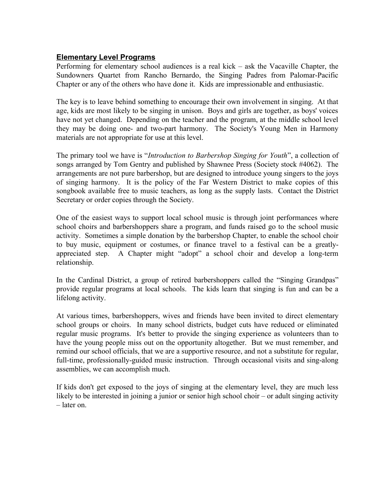## **Elementary Level Programs**

Performing for elementary school audiences is a real kick – ask the Vacaville Chapter, the Sundowners Quartet from Rancho Bernardo, the Singing Padres from Palomar-Pacific Chapter or any of the others who have done it. Kids are impressionable and enthusiastic.

The key is to leave behind something to encourage their own involvement in singing. At that age, kids are most likely to be singing in unison. Boys and girls are together, as boys' voices have not yet changed. Depending on the teacher and the program, at the middle school level they may be doing one- and two-part harmony. The Society's Young Men in Harmony materials are not appropriate for use at this level.

The primary tool we have is "*Introduction to Barbershop Singing for Youth*", a collection of songs arranged by Tom Gentry and published by Shawnee Press (Society stock #4062). The arrangements are not pure barbershop, but are designed to introduce young singers to the joys of singing harmony. It is the policy of the Far Western District to make copies of this songbook available free to music teachers, as long as the supply lasts. Contact the District Secretary or order copies through the Society.

One of the easiest ways to support local school music is through joint performances where school choirs and barbershoppers share a program, and funds raised go to the school music activity. Sometimes a simple donation by the barbershop Chapter, to enable the school choir to buy music, equipment or costumes, or finance travel to a festival can be a greatlyappreciated step. A Chapter might "adopt" a school choir and develop a long-term relationship.

In the Cardinal District, a group of retired barbershoppers called the "Singing Grandpas" provide regular programs at local schools. The kids learn that singing is fun and can be a lifelong activity.

At various times, barbershoppers, wives and friends have been invited to direct elementary school groups or choirs. In many school districts, budget cuts have reduced or eliminated regular music programs. It's better to provide the singing experience as volunteers than to have the young people miss out on the opportunity altogether. But we must remember, and remind our school officials, that we are a supportive resource, and not a substitute for regular, full-time, professionally-guided music instruction. Through occasional visits and sing-along assemblies, we can accomplish much.

If kids don't get exposed to the joys of singing at the elementary level, they are much less likely to be interested in joining a junior or senior high school choir – or adult singing activity – later on.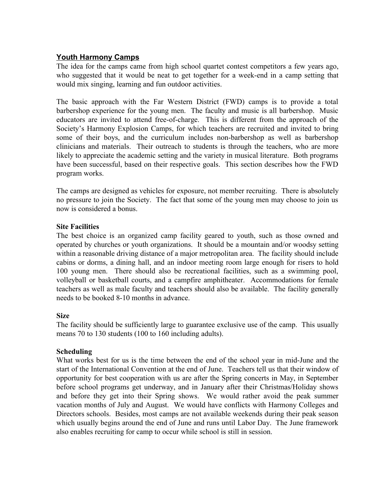# **Youth Harmony Camps**

The idea for the camps came from high school quartet contest competitors a few years ago, who suggested that it would be neat to get together for a week-end in a camp setting that would mix singing, learning and fun outdoor activities.

The basic approach with the Far Western District (FWD) camps is to provide a total barbershop experience for the young men. The faculty and music is all barbershop. Music educators are invited to attend free-of-charge. This is different from the approach of the Society's Harmony Explosion Camps, for which teachers are recruited and invited to bring some of their boys, and the curriculum includes non-barbershop as well as barbershop clinicians and materials. Their outreach to students is through the teachers, who are more likely to appreciate the academic setting and the variety in musical literature. Both programs have been successful, based on their respective goals. This section describes how the FWD program works.

The camps are designed as vehicles for exposure, not member recruiting. There is absolutely no pressure to join the Society. The fact that some of the young men may choose to join us now is considered a bonus.

#### **Site Facilities**

The best choice is an organized camp facility geared to youth, such as those owned and operated by churches or youth organizations. It should be a mountain and/or woodsy setting within a reasonable driving distance of a major metropolitan area. The facility should include cabins or dorms, a dining hall, and an indoor meeting room large enough for risers to hold 100 young men. There should also be recreational facilities, such as a swimming pool, volleyball or basketball courts, and a campfire amphitheater. Accommodations for female teachers as well as male faculty and teachers should also be available. The facility generally needs to be booked 8-10 months in advance.

#### **Size**

The facility should be sufficiently large to guarantee exclusive use of the camp. This usually means 70 to 130 students (100 to 160 including adults).

## **Scheduling**

What works best for us is the time between the end of the school year in mid-June and the start of the International Convention at the end of June. Teachers tell us that their window of opportunity for best cooperation with us are after the Spring concerts in May, in September before school programs get underway, and in January after their Christmas/Holiday shows and before they get into their Spring shows. We would rather avoid the peak summer vacation months of July and August. We would have conflicts with Harmony Colleges and Directors schools. Besides, most camps are not available weekends during their peak season which usually begins around the end of June and runs until Labor Day. The June framework also enables recruiting for camp to occur while school is still in session.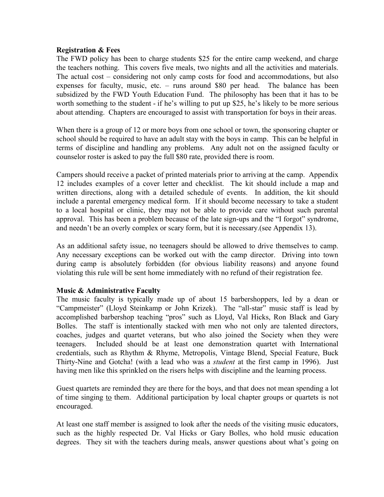#### **Registration & Fees**

The FWD policy has been to charge students \$25 for the entire camp weekend, and charge the teachers nothing. This covers five meals, two nights and all the activities and materials. The actual cost – considering not only camp costs for food and accommodations, but also expenses for faculty, music, etc. – runs around \$80 per head. The balance has been subsidized by the FWD Youth Education Fund. The philosophy has been that it has to be worth something to the student - if he's willing to put up \$25, he's likely to be more serious about attending. Chapters are encouraged to assist with transportation for boys in their areas.

When there is a group of 12 or more boys from one school or town, the sponsoring chapter or school should be required to have an adult stay with the boys in camp. This can be helpful in terms of discipline and handling any problems. Any adult not on the assigned faculty or counselor roster is asked to pay the full \$80 rate, provided there is room.

Campers should receive a packet of printed materials prior to arriving at the camp. Appendix 12 includes examples of a cover letter and checklist. The kit should include a map and written directions, along with a detailed schedule of events. In addition, the kit should include a parental emergency medical form. If it should become necessary to take a student to a local hospital or clinic, they may not be able to provide care without such parental approval. This has been a problem because of the late sign-ups and the "I forgot" syndrome, and needn't be an overly complex or scary form, but it is necessary.(see Appendix 13).

As an additional safety issue, no teenagers should be allowed to drive themselves to camp. Any necessary exceptions can be worked out with the camp director. Driving into town during camp is absolutely forbidden (for obvious liability reasons) and anyone found violating this rule will be sent home immediately with no refund of their registration fee.

#### **Music & Administrative Faculty**

The music faculty is typically made up of about 15 barbershoppers, led by a dean or "Campmeister" (Lloyd Steinkamp or John Krizek). The "all-star" music staff is lead by accomplished barbershop teaching "pros" such as Lloyd, Val Hicks, Ron Black and Gary Bolles. The staff is intentionally stacked with men who not only are talented directors, coaches, judges and quartet veterans, but who also joined the Society when they were teenagers. Included should be at least one demonstration quartet with International credentials, such as Rhythm & Rhyme, Metropolis, Vintage Blend, Special Feature, Buck Thirty-Nine and Gotcha! (with a lead who was a *student* at the first camp in 1996). Just having men like this sprinkled on the risers helps with discipline and the learning process.

Guest quartets are reminded they are there for the boys, and that does not mean spending a lot of time singing to them. Additional participation by local chapter groups or quartets is not encouraged.

At least one staff member is assigned to look after the needs of the visiting music educators, such as the highly respected Dr. Val Hicks or Gary Bolles, who hold music education degrees. They sit with the teachers during meals, answer questions about what's going on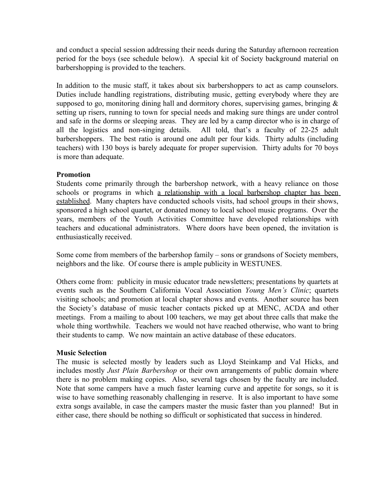and conduct a special session addressing their needs during the Saturday afternoon recreation period for the boys (see schedule below). A special kit of Society background material on barbershopping is provided to the teachers.

In addition to the music staff, it takes about six barbershoppers to act as camp counselors. Duties include handling registrations, distributing music, getting everybody where they are supposed to go, monitoring dining hall and dormitory chores, supervising games, bringing  $\&$ setting up risers, running to town for special needs and making sure things are under control and safe in the dorms or sleeping areas. They are led by a camp director who is in charge of all the logistics and non-singing details. All told, that's a faculty of 22-25 adult barbershoppers. The best ratio is around one adult per four kids. Thirty adults (including teachers) with 130 boys is barely adequate for proper supervision. Thirty adults for 70 boys is more than adequate.

## **Promotion**

Students come primarily through the barbershop network, with a heavy reliance on those schools or programs in which a relationship with a local barbershop chapter has been established. Many chapters have conducted schools visits, had school groups in their shows, sponsored a high school quartet, or donated money to local school music programs. Over the years, members of the Youth Activities Committee have developed relationships with teachers and educational administrators. Where doors have been opened, the invitation is enthusiastically received.

Some come from members of the barbershop family – sons or grandsons of Society members, neighbors and the like. Of course there is ample publicity in WESTUNES.

Others come from: publicity in music educator trade newsletters; presentations by quartets at events such as the Southern California Vocal Association *Young Men's Clinic*; quartets visiting schools; and promotion at local chapter shows and events. Another source has been the Society's database of music teacher contacts picked up at MENC, ACDA and other meetings. From a mailing to about 100 teachers, we may get about three calls that make the whole thing worthwhile. Teachers we would not have reached otherwise, who want to bring their students to camp. We now maintain an active database of these educators.

#### **Music Selection**

The music is selected mostly by leaders such as Lloyd Steinkamp and Val Hicks, and includes mostly *Just Plain Barbershop* or their own arrangements of public domain where there is no problem making copies. Also, several tags chosen by the faculty are included. Note that some campers have a much faster learning curve and appetite for songs, so it is wise to have something reasonably challenging in reserve. It is also important to have some extra songs available, in case the campers master the music faster than you planned! But in either case, there should be nothing so difficult or sophisticated that success in hindered.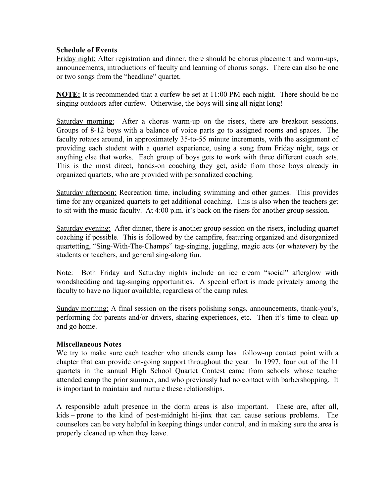#### **Schedule of Events**

Friday night: After registration and dinner, there should be chorus placement and warm-ups, announcements, introductions of faculty and learning of chorus songs. There can also be one or two songs from the "headline" quartet.

**NOTE:** It is recommended that a curfew be set at 11:00 PM each night. There should be no singing outdoors after curfew. Otherwise, the boys will sing all night long!

Saturday morning: After a chorus warm-up on the risers, there are breakout sessions. Groups of 8-12 boys with a balance of voice parts go to assigned rooms and spaces. The faculty rotates around, in approximately 35-to-55 minute increments, with the assignment of providing each student with a quartet experience, using a song from Friday night, tags or anything else that works. Each group of boys gets to work with three different coach sets. This is the most direct, hands-on coaching they get, aside from those boys already in organized quartets, who are provided with personalized coaching.

Saturday afternoon: Recreation time, including swimming and other games. This provides time for any organized quartets to get additional coaching. This is also when the teachers get to sit with the music faculty. At 4:00 p.m. it's back on the risers for another group session.

Saturday evening: After dinner, there is another group session on the risers, including quartet coaching if possible. This is followed by the campfire, featuring organized and disorganized quartetting, "Sing-With-The-Champs" tag-singing, juggling, magic acts (or whatever) by the students or teachers, and general sing-along fun.

Note: Both Friday and Saturday nights include an ice cream "social" afterglow with woodshedding and tag-singing opportunities. A special effort is made privately among the faculty to have no liquor available, regardless of the camp rules.

Sunday morning: A final session on the risers polishing songs, announcements, thank-you's, performing for parents and/or drivers, sharing experiences, etc. Then it's time to clean up and go home.

#### **Miscellaneous Notes**

We try to make sure each teacher who attends camp has follow-up contact point with a chapter that can provide on-going support throughout the year. In 1997, four out of the 11 quartets in the annual High School Quartet Contest came from schools whose teacher attended camp the prior summer, and who previously had no contact with barbershopping. It is important to maintain and nurture these relationships.

A responsible adult presence in the dorm areas is also important. These are, after all, kids – prone to the kind of post-midnight hi-jinx that can cause serious problems. The counselors can be very helpful in keeping things under control, and in making sure the area is properly cleaned up when they leave.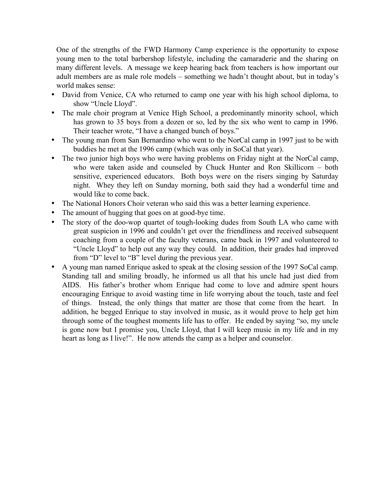One of the strengths of the FWD Harmony Camp experience is the opportunity to expose young men to the total barbershop lifestyle, including the camaraderie and the sharing on many different levels. A message we keep hearing back from teachers is how important our adult members are as male role models – something we hadn't thought about, but in today's world makes sense:

- David from Venice, CA who returned to camp one year with his high school diploma, to show "Uncle Lloyd".
- The male choir program at Venice High School, a predominantly minority school, which has grown to 35 boys from a dozen or so, led by the six who went to camp in 1996. Their teacher wrote, "I have a changed bunch of boys."
- The young man from San Bernardino who went to the NorCal camp in 1997 just to be with buddies he met at the 1996 camp (which was only in SoCal that year).
- The two junior high boys who were having problems on Friday night at the NorCal camp, who were taken aside and counseled by Chuck Hunter and Ron Skillicorn – both sensitive, experienced educators. Both boys were on the risers singing by Saturday night. Whey they left on Sunday morning, both said they had a wonderful time and would like to come back.
- The National Honors Choir veteran who said this was a better learning experience.
- The amount of hugging that goes on at good-bye time.
- The story of the doo-wop quartet of tough-looking dudes from South LA who came with great suspicion in 1996 and couldn't get over the friendliness and received subsequent coaching from a couple of the faculty veterans, came back in 1997 and volunteered to "Uncle Lloyd" to help out any way they could. In addition, their grades had improved from "D" level to "B" level during the previous year.
- A young man named Enrique asked to speak at the closing session of the 1997 SoCal camp. Standing tall and smiling broadly, he informed us all that his uncle had just died from AIDS. His father's brother whom Enrique had come to love and admire spent hours encouraging Enrique to avoid wasting time in life worrying about the touch, taste and feel of things. Instead, the only things that matter are those that come from the heart. In addition, he begged Enrique to stay involved in music, as it would prove to help get him through some of the toughest moments life has to offer. He ended by saying "so, my uncle is gone now but I promise you, Uncle Lloyd, that I will keep music in my life and in my heart as long as I live!". He now attends the camp as a helper and counselor.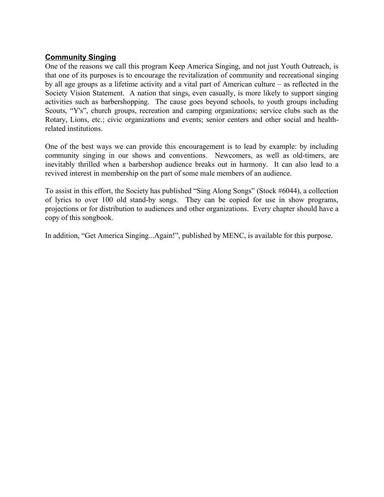# **Community Singing**

One of the reasons we call this program Keep America Singing, and not just Youth Outreach, is that one of its purposes is to encourage the revitalization of community and recreational singing by all age groups as a lifetime activity and a vital part of American culture – as reflected in the Society Vision Statement. A nation that sings, even casually, is more likely to support singing activities such as barbershopping. The cause goes beyond schools, to youth groups including Scouts, "Y's", church groups, recreation and camping organizations; service clubs such as the Rotary, Lions, etc.; civic organizations and events; senior centers and other social and healthrelated institutions.

One of the best ways we can provide this encouragement is to lead by example: by including community singing in our shows and conventions. Newcomers, as well as old-timers, are inevitably thrilled when a barbershop audience breaks out in harmony. It can also lead to a revived interest in membership on the part of some male members of an audience.

To assist in this effort, the Society has published "Sing Along Songs" (Stock #6044), a collection of lyrics to over 100 old stand-by songs. They can be copied for use in show programs, projections or for distribution to audiences and other organizations. Every chapter should have a copy of this songbook.

In addition, "Get America Singing...Again!", published by MENC, is available for this purpose.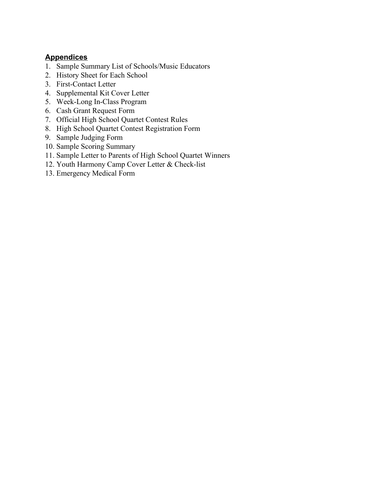# **Appendices**

- 1. Sample Summary List of Schools/Music Educators
- 2. History Sheet for Each School
- 3. First-Contact Letter
- 4. Supplemental Kit Cover Letter
- 5. Week-Long In-Class Program
- 6. Cash Grant Request Form
- 7. Official High School Quartet Contest Rules
- 8. High School Quartet Contest Registration Form
- 9. Sample Judging Form
- 10. Sample Scoring Summary
- 11. Sample Letter to Parents of High School Quartet Winners
- 12. Youth Harmony Camp Cover Letter & Check-list
- 13. Emergency Medical Form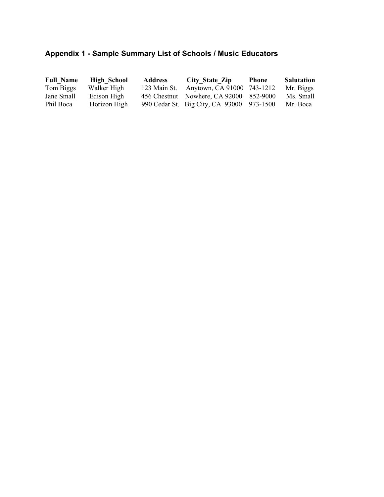# **Appendix 1 - Sample Summary List of Schools / Music Educators**

| <b>Full Name</b> | <b>High School</b> | <b>Address</b> | City State Zip                            | <b>Phone</b> | <b>Salutation</b> |
|------------------|--------------------|----------------|-------------------------------------------|--------------|-------------------|
| Tom Biggs        | Walker High        | 123 Main St.   | Anytown, CA 91000 743-1212                |              | Mr. Biggs         |
| Jane Small       | Edison High        |                | 456 Chestnut Nowhere, CA 92000 852-9000   |              | Ms. Small         |
| Phil Boca        | Horizon High       |                | 990 Cedar St. Big City, CA 93000 973-1500 |              | Mr. Boca          |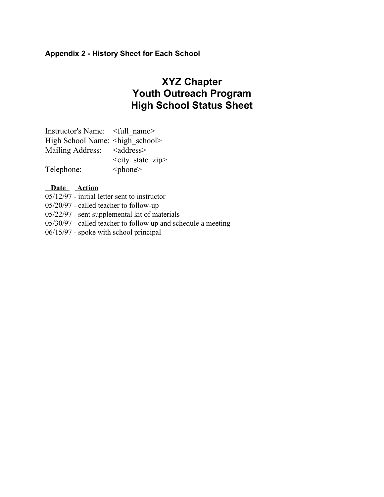# **Appendix 2 - History Sheet for Each School**

# **XYZ Chapter Youth Outreach Program High School Status Sheet**

| Instructor's Name: <full name=""></full>  |                          |
|-------------------------------------------|--------------------------|
| High School Name: <high school=""></high> |                          |
| Mailing Address: <address></address>      |                          |
|                                           | $\le$ city state zip $>$ |
| Telephone:                                | $<$ phone $>$            |

# **Date Action**

05/12/97 - initial letter sent to instructor 05/20/97 - called teacher to follow-up

05/22/97 - sent supplemental kit of materials

05/30/97 - called teacher to follow up and schedule a meeting

06/15/97 - spoke with school principal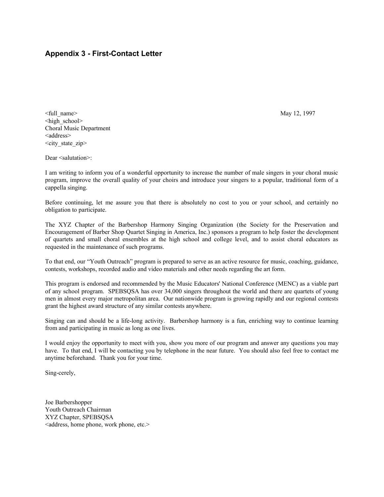#### **Appendix 3 - First-Contact Letter**

<full\_name> May 12, 1997 <high\_school> Choral Music Department <address> <city state zip>

Dear <salutation>:

I am writing to inform you of a wonderful opportunity to increase the number of male singers in your choral music program, improve the overall quality of your choirs and introduce your singers to a popular, traditional form of a cappella singing.

Before continuing, let me assure you that there is absolutely no cost to you or your school, and certainly no obligation to participate.

The XYZ Chapter of the Barbershop Harmony Singing Organization (the Society for the Preservation and Encouragement of Barber Shop Quartet Singing in America, Inc.) sponsors a program to help foster the development of quartets and small choral ensembles at the high school and college level, and to assist choral educators as requested in the maintenance of such programs.

To that end, our "Youth Outreach" program is prepared to serve as an active resource for music, coaching, guidance, contests, workshops, recorded audio and video materials and other needs regarding the art form.

This program is endorsed and recommended by the Music Educators' National Conference (MENC) as a viable part of any school program. SPEBSQSA has over 34,000 singers throughout the world and there are quartets of young men in almost every major metropolitan area. Our nationwide program is growing rapidly and our regional contests grant the highest award structure of any similar contests anywhere.

Singing can and should be a life-long activity. Barbershop harmony is a fun, enriching way to continue learning from and participating in music as long as one lives.

I would enjoy the opportunity to meet with you, show you more of our program and answer any questions you may have. To that end, I will be contacting you by telephone in the near future. You should also feel free to contact me anytime beforehand. Thank you for your time.

Sing-cerely,

Joe Barbershopper Youth Outreach Chairman XYZ Chapter, SPEBSQSA <address, home phone, work phone, etc.>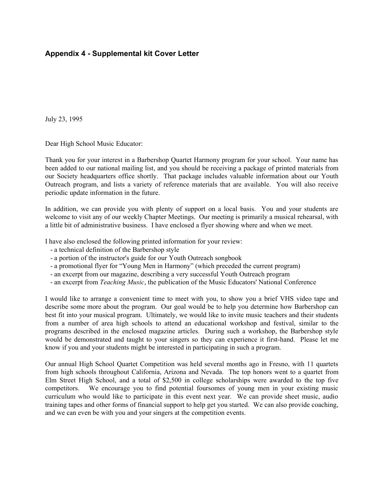## **Appendix 4 - Supplemental kit Cover Letter**

July 23, 1995

Dear High School Music Educator:

Thank you for your interest in a Barbershop Quartet Harmony program for your school. Your name has been added to our national mailing list, and you should be receiving a package of printed materials from our Society headquarters office shortly. That package includes valuable information about our Youth Outreach program, and lists a variety of reference materials that are available. You will also receive periodic update information in the future.

In addition, we can provide you with plenty of support on a local basis. You and your students are welcome to visit any of our weekly Chapter Meetings. Our meeting is primarily a musical rehearsal, with a little bit of administrative business. I have enclosed a flyer showing where and when we meet.

I have also enclosed the following printed information for your review:

- a technical definition of the Barbershop style
- a portion of the instructor's guide for our Youth Outreach songbook
- a promotional flyer for "Young Men in Harmony" (which preceded the current program)
- an excerpt from our magazine, describing a very successful Youth Outreach program
- an excerpt from *Teaching Music*, the publication of the Music Educators' National Conference

I would like to arrange a convenient time to meet with you, to show you a brief VHS video tape and describe some more about the program. Our goal would be to help you determine how Barbershop can best fit into your musical program. Ultimately, we would like to invite music teachers and their students from a number of area high schools to attend an educational workshop and festival, similar to the programs described in the enclosed magazine articles. During such a workshop, the Barbershop style would be demonstrated and taught to your singers so they can experience it first-hand. Please let me know if you and your students might be interested in participating in such a program.

Our annual High School Quartet Competition was held several months ago in Fresno, with 11 quartets from high schools throughout California, Arizona and Nevada. The top honors went to a quartet from Elm Street High School, and a total of \$2,500 in college scholarships were awarded to the top five competitors. We encourage you to find potential foursomes of young men in your existing music curriculum who would like to participate in this event next year. We can provide sheet music, audio training tapes and other forms of financial support to help get you started. We can also provide coaching, and we can even be with you and your singers at the competition events.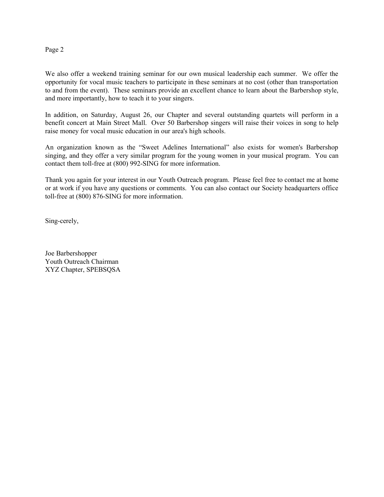#### Page 2

We also offer a weekend training seminar for our own musical leadership each summer. We offer the opportunity for vocal music teachers to participate in these seminars at no cost (other than transportation to and from the event). These seminars provide an excellent chance to learn about the Barbershop style, and more importantly, how to teach it to your singers.

In addition, on Saturday, August 26, our Chapter and several outstanding quartets will perform in a benefit concert at Main Street Mall. Over 50 Barbershop singers will raise their voices in song to help raise money for vocal music education in our area's high schools.

An organization known as the "Sweet Adelines International" also exists for women's Barbershop singing, and they offer a very similar program for the young women in your musical program. You can contact them toll-free at (800) 992-SING for more information.

Thank you again for your interest in our Youth Outreach program. Please feel free to contact me at home or at work if you have any questions or comments. You can also contact our Society headquarters office toll-free at (800) 876-SING for more information.

Sing-cerely,

Joe Barbershopper Youth Outreach Chairman XYZ Chapter, SPEBSQSA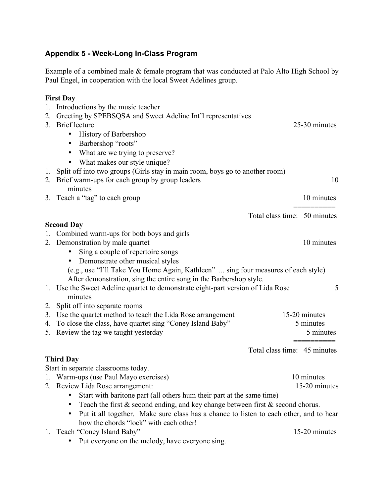# **Appendix 5 - Week-Long In-Class Program**

Example of a combined male & female program that was conducted at Palo Alto High School by Paul Engel, in cooperation with the local Sweet Adelines group.

# **First Day**

|    | 1. Introductions by the music teacher                                                               |                              |               |
|----|-----------------------------------------------------------------------------------------------------|------------------------------|---------------|
|    | 2. Greeting by SPEBSQSA and Sweet Adeline Int'l representatives                                     |                              |               |
|    | 3. Brief lecture                                                                                    |                              | 25-30 minutes |
|    | <b>History of Barbershop</b><br>$\bullet$                                                           |                              |               |
|    | Barbershop "roots"<br>$\bullet$                                                                     |                              |               |
|    | What are we trying to preserve?<br>$\bullet$                                                        |                              |               |
|    | What makes our style unique?                                                                        |                              |               |
|    | 1. Split off into two groups (Girls stay in main room, boys go to another room)                     |                              |               |
|    | 2. Brief warm-ups for each group by group leaders                                                   |                              | 10            |
|    | minutes                                                                                             |                              |               |
|    | 3. Teach a "tag" to each group                                                                      |                              | 10 minutes    |
|    |                                                                                                     | Total class time: 50 minutes |               |
|    | <b>Second Day</b>                                                                                   |                              |               |
|    | 1. Combined warm-ups for both boys and girls                                                        |                              |               |
|    | 2. Demonstration by male quartet                                                                    |                              | 10 minutes    |
|    | Sing a couple of repertoire songs<br>$\bullet$                                                      |                              |               |
|    | Demonstrate other musical styles<br>$\bullet$                                                       |                              |               |
|    | (e.g., use "I'll Take You Home Again, Kathleen"  sing four measures of each style)                  |                              |               |
|    | After demonstration, sing the entire song in the Barbershop style.                                  |                              |               |
|    | 1. Use the Sweet Adeline quartet to demonstrate eight-part version of Lida Rose                     |                              | 5             |
|    | minutes                                                                                             |                              |               |
| 2. | Split off into separate rooms                                                                       |                              |               |
|    | 3. Use the quartet method to teach the Lida Rose arrangement                                        |                              | 15-20 minutes |
|    | 4. To close the class, have quartet sing "Coney Island Baby"                                        |                              | 5 minutes     |
|    | 5. Review the tag we taught yesterday                                                               |                              | 5 minutes     |
|    |                                                                                                     | Total class time: 45 minutes |               |
|    | <b>Third Day</b>                                                                                    |                              |               |
|    | Start in separate classrooms today.                                                                 |                              |               |
|    | 1. Warm-ups (use Paul Mayo exercises)                                                               |                              | 10 minutes    |
|    | 2. Review Lida Rose arrangement:                                                                    |                              | 15-20 minutes |
|    | Start with baritone part (all others hum their part at the same time)                               |                              |               |
|    | Teach the first $\&$ second ending, and key change between first $\&$ second chorus.                |                              |               |
|    | Put it all together. Make sure class has a chance to listen to each other, and to hear<br>$\bullet$ |                              |               |
|    | how the chords "lock" with each other!                                                              |                              |               |
|    | 1. Teach "Coney Island Baby"                                                                        |                              | 15-20 minutes |

• Put everyone on the melody, have everyone sing.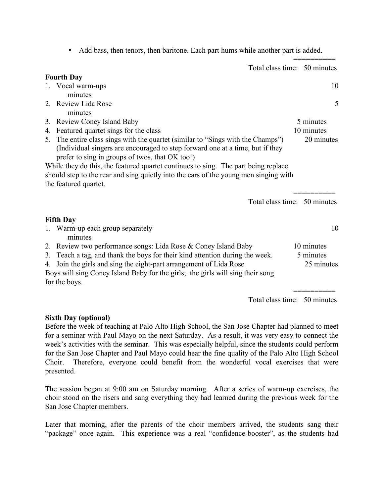========== Total class time: 50 minutes **Fourth Day** 1. Vocal warm-ups 10 minutes 2. Review Lida Rose 5 minutes 3. Review Coney Island Baby 5 minutes 4. Featured quartet sings for the class 10 minutes 5. The entire class sings with the quartet (similar to "Sings with the Champs") 20 minutes (Individual singers are encouraged to step forward one at a time, but if they prefer to sing in groups of twos, that OK too!) While they do this, the featured quartet continues to sing. The part being replace should step to the rear and sing quietly into the ears of the young men singing with the featured quartet. ========== Total class time: 50 minutes **Fifth Day** 1. Warm-up each group separately 10 minutes 2. Review two performance songs: Lida Rose & Coney Island Baby 10 minutes 3. Teach a tag, and thank the boys for their kind attention during the week. 5 minutes 4. Join the girls and sing the eight-part arrangement of Lida Rose 25 minutes Boys will sing Coney Island Baby for the girls; the girls will sing their song for the boys. ==========

• Add bass, then tenors, then baritone. Each part hums while another part is added.

Total class time: 50 minutes

## **Sixth Day (optional)**

Before the week of teaching at Palo Alto High School, the San Jose Chapter had planned to meet for a seminar with Paul Mayo on the next Saturday. As a result, it was very easy to connect the week's activities with the seminar. This was especially helpful, since the students could perform for the San Jose Chapter and Paul Mayo could hear the fine quality of the Palo Alto High School Choir. Therefore, everyone could benefit from the wonderful vocal exercises that were presented.

The session began at 9:00 am on Saturday morning. After a series of warm-up exercises, the choir stood on the risers and sang everything they had learned during the previous week for the San Jose Chapter members.

Later that morning, after the parents of the choir members arrived, the students sang their "package" once again. This experience was a real "confidence-booster", as the students had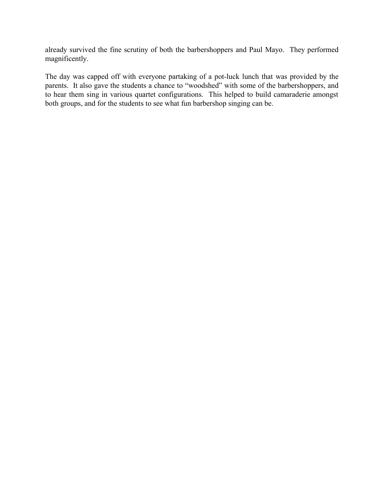already survived the fine scrutiny of both the barbershoppers and Paul Mayo. They performed magnificently.

The day was capped off with everyone partaking of a pot-luck lunch that was provided by the parents. It also gave the students a chance to "woodshed" with some of the barbershoppers, and to hear them sing in various quartet configurations. This helped to build camaraderie amongst both groups, and for the students to see what fun barbershop singing can be.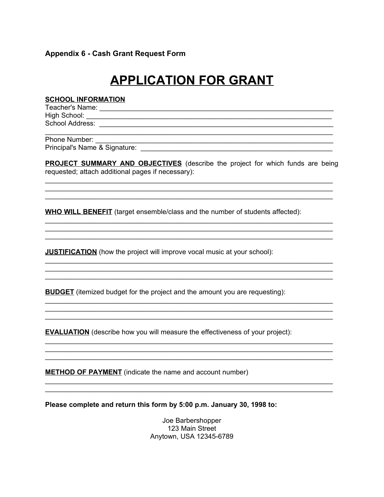#### **Appendix 6 - Cash Grant Request Form**

# **APPLICATION FOR GRANT**

#### **SCHOOL INFORMATION**

Phone Number: 

PROJECT SUMMARY AND OBJECTIVES (describe the project for which funds are being requested; attach additional pages if necessary):

<u> 1989 - Johann John Stone, mars eta bainar eta bainar eta baina eta baina eta baina eta baina eta baina eta b</u>

**WHO WILL BENEFIT** (target ensemble/class and the number of students affected):

**JUSTIFICATION** (how the project will improve vocal music at your school):

**BUDGET** (itemized budget for the project and the amount you are requesting):

**EVALUATION** (describe how you will measure the effectiveness of your project):

**METHOD OF PAYMENT** (indicate the name and account number)

Please complete and return this form by 5:00 p.m. January 30, 1998 to:

Joe Barbershopper 123 Main Street Anytown, USA 12345-6789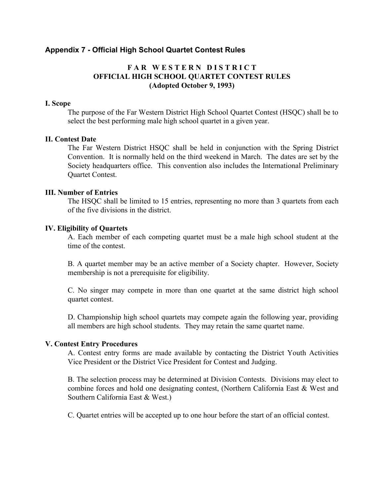## **Appendix 7 - Official High School Quartet Contest Rules**

## **F A R W E S T E R N D I S T R I C T OFFICIAL HIGH SCHOOL QUARTET CONTEST RULES (Adopted October 9, 1993)**

#### **I. Scope**

The purpose of the Far Western District High School Quartet Contest (HSQC) shall be to select the best performing male high school quartet in a given year.

#### **II. Contest Date**

The Far Western District HSQC shall be held in conjunction with the Spring District Convention. It is normally held on the third weekend in March. The dates are set by the Society headquarters office. This convention also includes the International Preliminary Quartet Contest.

#### **III. Number of Entries**

The HSQC shall be limited to 15 entries, representing no more than 3 quartets from each of the five divisions in the district.

#### **IV. Eligibility of Quartets**

A. Each member of each competing quartet must be a male high school student at the time of the contest.

B. A quartet member may be an active member of a Society chapter. However, Society membership is not a prerequisite for eligibility.

C. No singer may compete in more than one quartet at the same district high school quartet contest.

D. Championship high school quartets may compete again the following year, providing all members are high school students. They may retain the same quartet name.

#### **V. Contest Entry Procedures**

A. Contest entry forms are made available by contacting the District Youth Activities Vice President or the District Vice President for Contest and Judging.

B. The selection process may be determined at Division Contests. Divisions may elect to combine forces and hold one designating contest, (Northern California East & West and Southern California East & West.)

C. Quartet entries will be accepted up to one hour before the start of an official contest.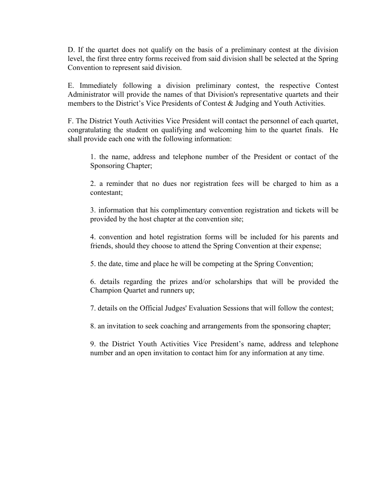D. If the quartet does not qualify on the basis of a preliminary contest at the division level, the first three entry forms received from said division shall be selected at the Spring Convention to represent said division.

E. Immediately following a division preliminary contest, the respective Contest Administrator will provide the names of that Division's representative quartets and their members to the District's Vice Presidents of Contest & Judging and Youth Activities.

F. The District Youth Activities Vice President will contact the personnel of each quartet, congratulating the student on qualifying and welcoming him to the quartet finals. He shall provide each one with the following information:

1. the name, address and telephone number of the President or contact of the Sponsoring Chapter;

2. a reminder that no dues nor registration fees will be charged to him as a contestant;

3. information that his complimentary convention registration and tickets will be provided by the host chapter at the convention site;

4. convention and hotel registration forms will be included for his parents and friends, should they choose to attend the Spring Convention at their expense;

5. the date, time and place he will be competing at the Spring Convention;

6. details regarding the prizes and/or scholarships that will be provided the Champion Quartet and runners up;

7. details on the Official Judges' Evaluation Sessions that will follow the contest;

8. an invitation to seek coaching and arrangements from the sponsoring chapter;

9. the District Youth Activities Vice President's name, address and telephone number and an open invitation to contact him for any information at any time.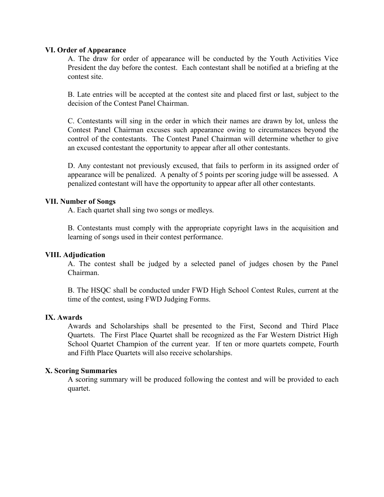#### **VI. Order of Appearance**

A. The draw for order of appearance will be conducted by the Youth Activities Vice President the day before the contest. Each contestant shall be notified at a briefing at the contest site.

B. Late entries will be accepted at the contest site and placed first or last, subject to the decision of the Contest Panel Chairman.

C. Contestants will sing in the order in which their names are drawn by lot, unless the Contest Panel Chairman excuses such appearance owing to circumstances beyond the control of the contestants. The Contest Panel Chairman will determine whether to give an excused contestant the opportunity to appear after all other contestants.

D. Any contestant not previously excused, that fails to perform in its assigned order of appearance will be penalized. A penalty of 5 points per scoring judge will be assessed. A penalized contestant will have the opportunity to appear after all other contestants.

#### **VII. Number of Songs**

A. Each quartet shall sing two songs or medleys.

B. Contestants must comply with the appropriate copyright laws in the acquisition and learning of songs used in their contest performance.

#### **VIII. Adjudication**

A. The contest shall be judged by a selected panel of judges chosen by the Panel Chairman.

B. The HSQC shall be conducted under FWD High School Contest Rules, current at the time of the contest, using FWD Judging Forms.

#### **IX. Awards**

Awards and Scholarships shall be presented to the First, Second and Third Place Quartets. The First Place Quartet shall be recognized as the Far Western District High School Quartet Champion of the current year. If ten or more quartets compete, Fourth and Fifth Place Quartets will also receive scholarships.

#### **X. Scoring Summaries**

A scoring summary will be produced following the contest and will be provided to each quartet.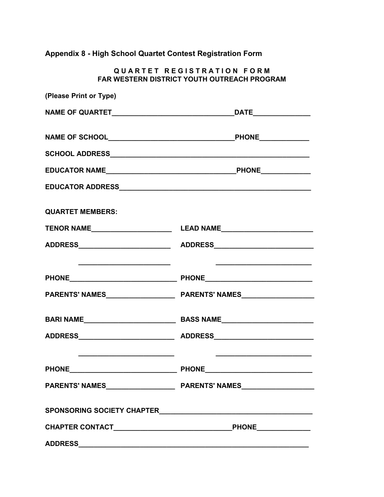**Appendix 8 - High School Quartet Contest Registration Form**

 $Q$ **UARTET REGISTRATION FORM FAR WESTERN DISTRICT YOUTH OUTREACH PROGRAM**

| (Please Print or Type)                             |                                                                                                                      |
|----------------------------------------------------|----------------------------------------------------------------------------------------------------------------------|
|                                                    |                                                                                                                      |
|                                                    |                                                                                                                      |
|                                                    |                                                                                                                      |
|                                                    |                                                                                                                      |
|                                                    |                                                                                                                      |
| <b>QUARTET MEMBERS:</b>                            |                                                                                                                      |
|                                                    |                                                                                                                      |
|                                                    |                                                                                                                      |
| <u> 1999 - Johann Barbara, martin amerikan per</u> | <u> 1980 - Jan Samuel Barbara, margaret e populari e populari e populari e populari e populari e populari e popu</u> |
|                                                    |                                                                                                                      |
|                                                    |                                                                                                                      |
|                                                    |                                                                                                                      |
|                                                    |                                                                                                                      |
|                                                    |                                                                                                                      |
|                                                    |                                                                                                                      |
|                                                    |                                                                                                                      |
|                                                    |                                                                                                                      |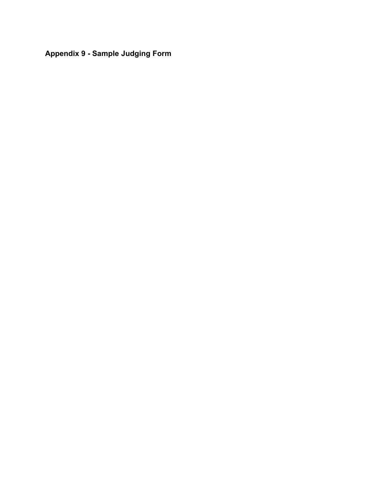**Appendix 9 - Sample Judging Form**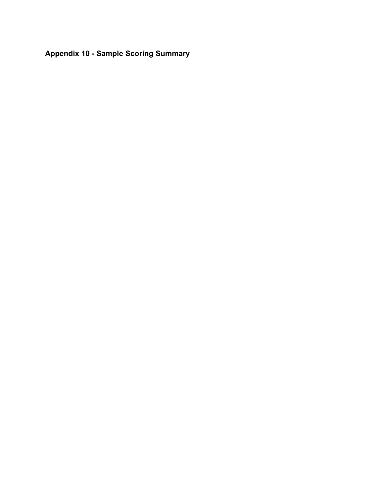**Appendix 10 - Sample Scoring Summary**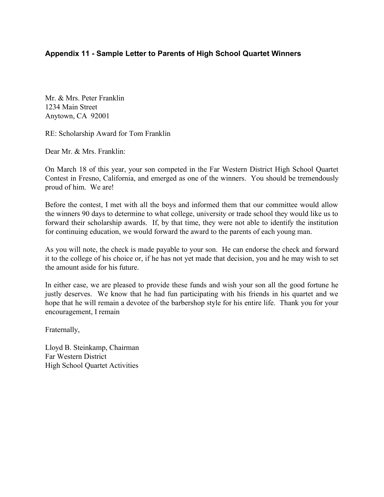# **Appendix 11 - Sample Letter to Parents of High School Quartet Winners**

Mr. & Mrs. Peter Franklin 1234 Main Street Anytown, CA 92001

RE: Scholarship Award for Tom Franklin

Dear Mr. & Mrs. Franklin:

On March 18 of this year, your son competed in the Far Western District High School Quartet Contest in Fresno, California, and emerged as one of the winners. You should be tremendously proud of him. We are!

Before the contest, I met with all the boys and informed them that our committee would allow the winners 90 days to determine to what college, university or trade school they would like us to forward their scholarship awards. If, by that time, they were not able to identify the institution for continuing education, we would forward the award to the parents of each young man.

As you will note, the check is made payable to your son. He can endorse the check and forward it to the college of his choice or, if he has not yet made that decision, you and he may wish to set the amount aside for his future.

In either case, we are pleased to provide these funds and wish your son all the good fortune he justly deserves. We know that he had fun participating with his friends in his quartet and we hope that he will remain a devotee of the barbershop style for his entire life. Thank you for your encouragement, I remain

Fraternally,

Lloyd B. Steinkamp, Chairman Far Western District High School Quartet Activities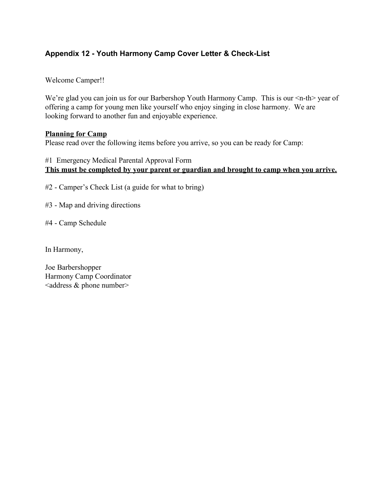# **Appendix 12 - Youth Harmony Camp Cover Letter & Check-List**

Welcome Camper!!

We're glad you can join us for our Barbershop Youth Harmony Camp. This is our  $\leq n$ -th> year of offering a camp for young men like yourself who enjoy singing in close harmony. We are looking forward to another fun and enjoyable experience.

#### **Planning for Camp**

Please read over the following items before you arrive, so you can be ready for Camp:

## #1 Emergency Medical Parental Approval Form **This must be completed by your parent or guardian and brought to camp when you arrive.**

#2 - Camper's Check List (a guide for what to bring)

#3 - Map and driving directions

#4 - Camp Schedule

In Harmony,

Joe Barbershopper Harmony Camp Coordinator  $\leq$ address & phone number $\geq$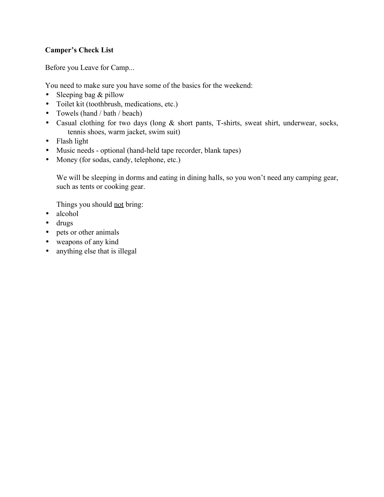# **Camper's Check List**

Before you Leave for Camp...

You need to make sure you have some of the basics for the weekend:

- Sleeping bag  $&$  pillow
- Toilet kit (toothbrush, medications, etc.)
- Towels (hand / bath / beach)
- Casual clothing for two days (long & short pants, T-shirts, sweat shirt, underwear, socks, tennis shoes, warm jacket, swim suit)
- Flash light
- Music needs optional (hand-held tape recorder, blank tapes)
- Money (for sodas, candy, telephone, etc.)

We will be sleeping in dorms and eating in dining halls, so you won't need any camping gear, such as tents or cooking gear.

Things you should not bring:

- alcohol
- drugs
- pets or other animals
- weapons of any kind
- anything else that is illegal